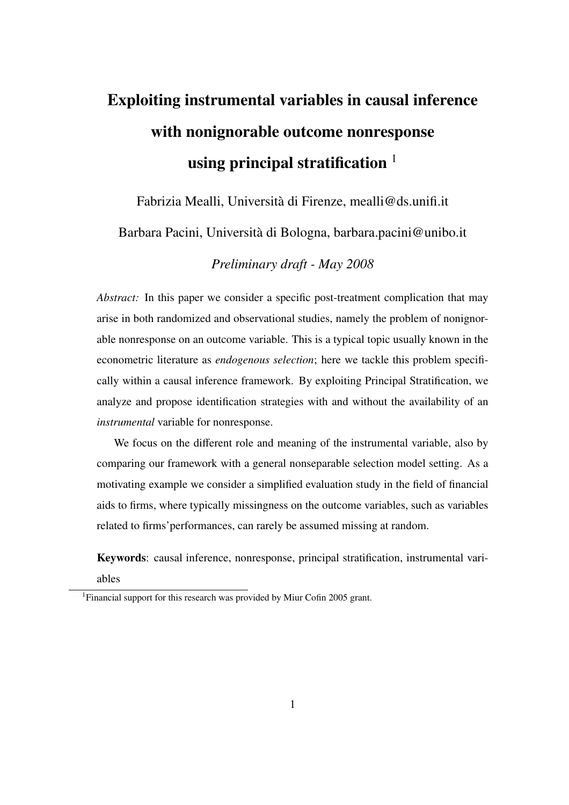# Exploiting instrumental variables in causal inference with nonignorable outcome nonresponse using principal stratification  $<sup>1</sup>$ </sup>

Fabrizia Mealli, Universita di Firenze, mealli@ds.unifi.it `

Barbara Pacini, Universita di Bologna, barbara.pacini@unibo.it `

*Preliminary draft - May 2008*

*Abstract:* In this paper we consider a specific post-treatment complication that may arise in both randomized and observational studies, namely the problem of nonignorable nonresponse on an outcome variable. This is a typical topic usually known in the econometric literature as *endogenous selection*; here we tackle this problem specifically within a causal inference framework. By exploiting Principal Stratification, we analyze and propose identification strategies with and without the availability of an *instrumental* variable for nonresponse.

We focus on the different role and meaning of the instrumental variable, also by comparing our framework with a general nonseparable selection model setting. As a motivating example we consider a simplified evaluation study in the field of financial aids to firms, where typically missingness on the outcome variables, such as variables related to firms'performances, can rarely be assumed missing at random.

Keywords: causal inference, nonresponse, principal stratification, instrumental variables

<sup>&</sup>lt;sup>1</sup>Financial support for this research was provided by Miur Cofin 2005 grant.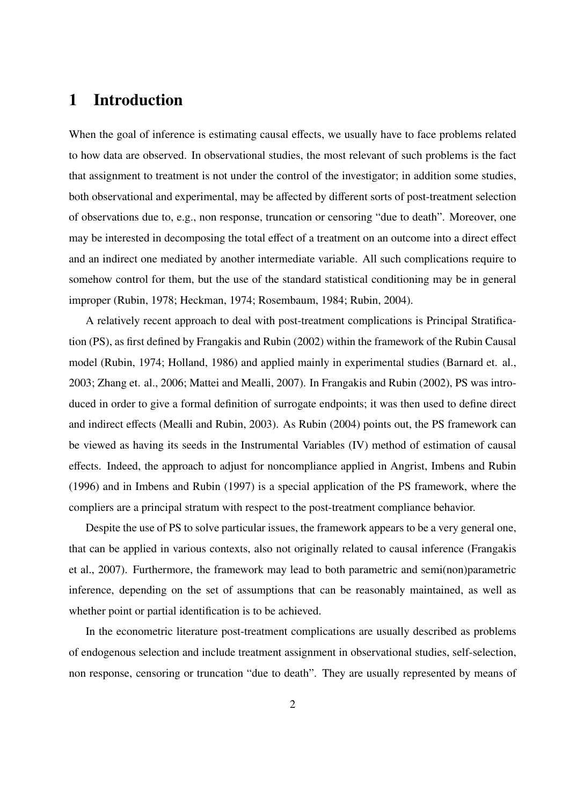## 1 Introduction

When the goal of inference is estimating causal effects, we usually have to face problems related to how data are observed. In observational studies, the most relevant of such problems is the fact that assignment to treatment is not under the control of the investigator; in addition some studies, both observational and experimental, may be affected by different sorts of post-treatment selection of observations due to, e.g., non response, truncation or censoring "due to death". Moreover, one may be interested in decomposing the total effect of a treatment on an outcome into a direct effect and an indirect one mediated by another intermediate variable. All such complications require to somehow control for them, but the use of the standard statistical conditioning may be in general improper (Rubin, 1978; Heckman, 1974; Rosembaum, 1984; Rubin, 2004).

A relatively recent approach to deal with post-treatment complications is Principal Stratification (PS), as first defined by Frangakis and Rubin (2002) within the framework of the Rubin Causal model (Rubin, 1974; Holland, 1986) and applied mainly in experimental studies (Barnard et. al., 2003; Zhang et. al., 2006; Mattei and Mealli, 2007). In Frangakis and Rubin (2002), PS was introduced in order to give a formal definition of surrogate endpoints; it was then used to define direct and indirect effects (Mealli and Rubin, 2003). As Rubin (2004) points out, the PS framework can be viewed as having its seeds in the Instrumental Variables (IV) method of estimation of causal effects. Indeed, the approach to adjust for noncompliance applied in Angrist, Imbens and Rubin (1996) and in Imbens and Rubin (1997) is a special application of the PS framework, where the compliers are a principal stratum with respect to the post-treatment compliance behavior.

Despite the use of PS to solve particular issues, the framework appears to be a very general one, that can be applied in various contexts, also not originally related to causal inference (Frangakis et al., 2007). Furthermore, the framework may lead to both parametric and semi(non)parametric inference, depending on the set of assumptions that can be reasonably maintained, as well as whether point or partial identification is to be achieved.

In the econometric literature post-treatment complications are usually described as problems of endogenous selection and include treatment assignment in observational studies, self-selection, non response, censoring or truncation "due to death". They are usually represented by means of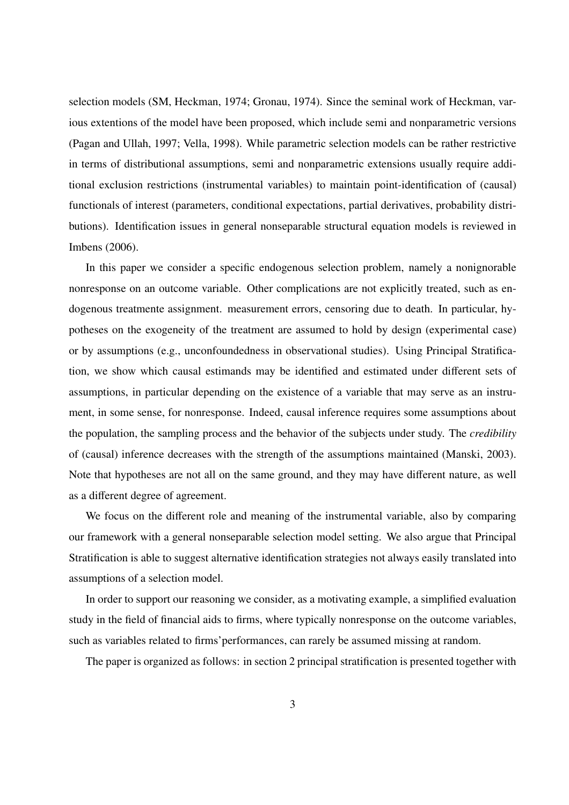selection models (SM, Heckman, 1974; Gronau, 1974). Since the seminal work of Heckman, various extentions of the model have been proposed, which include semi and nonparametric versions (Pagan and Ullah, 1997; Vella, 1998). While parametric selection models can be rather restrictive in terms of distributional assumptions, semi and nonparametric extensions usually require additional exclusion restrictions (instrumental variables) to maintain point-identification of (causal) functionals of interest (parameters, conditional expectations, partial derivatives, probability distributions). Identification issues in general nonseparable structural equation models is reviewed in Imbens (2006).

In this paper we consider a specific endogenous selection problem, namely a nonignorable nonresponse on an outcome variable. Other complications are not explicitly treated, such as endogenous treatmente assignment. measurement errors, censoring due to death. In particular, hypotheses on the exogeneity of the treatment are assumed to hold by design (experimental case) or by assumptions (e.g., unconfoundedness in observational studies). Using Principal Stratification, we show which causal estimands may be identified and estimated under different sets of assumptions, in particular depending on the existence of a variable that may serve as an instrument, in some sense, for nonresponse. Indeed, causal inference requires some assumptions about the population, the sampling process and the behavior of the subjects under study. The *credibility* of (causal) inference decreases with the strength of the assumptions maintained (Manski, 2003). Note that hypotheses are not all on the same ground, and they may have different nature, as well as a different degree of agreement.

We focus on the different role and meaning of the instrumental variable, also by comparing our framework with a general nonseparable selection model setting. We also argue that Principal Stratification is able to suggest alternative identification strategies not always easily translated into assumptions of a selection model.

In order to support our reasoning we consider, as a motivating example, a simplified evaluation study in the field of financial aids to firms, where typically nonresponse on the outcome variables, such as variables related to firms'performances, can rarely be assumed missing at random.

The paper is organized as follows: in section 2 principal stratification is presented together with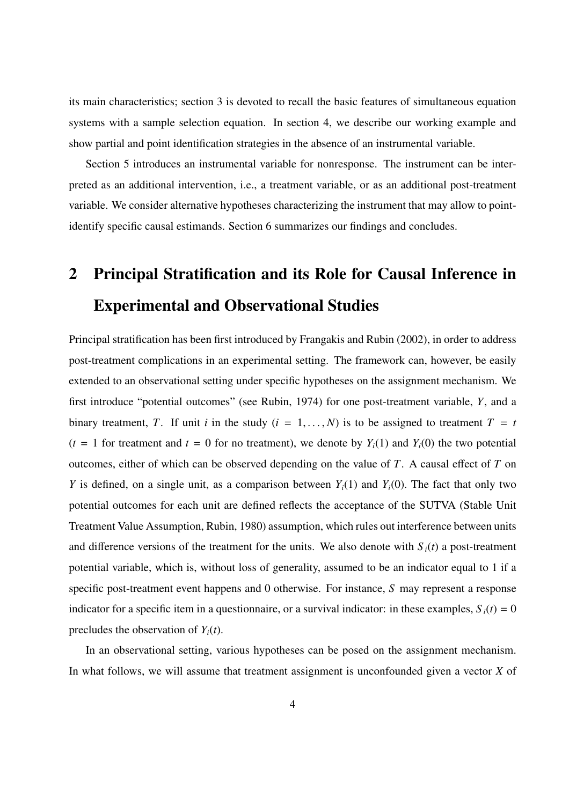its main characteristics; section 3 is devoted to recall the basic features of simultaneous equation systems with a sample selection equation. In section 4, we describe our working example and show partial and point identification strategies in the absence of an instrumental variable.

Section 5 introduces an instrumental variable for nonresponse. The instrument can be interpreted as an additional intervention, i.e., a treatment variable, or as an additional post-treatment variable. We consider alternative hypotheses characterizing the instrument that may allow to pointidentify specific causal estimands. Section 6 summarizes our findings and concludes.

## 2 Principal Stratification and its Role for Causal Inference in Experimental and Observational Studies

Principal stratification has been first introduced by Frangakis and Rubin (2002), in order to address post-treatment complications in an experimental setting. The framework can, however, be easily extended to an observational setting under specific hypotheses on the assignment mechanism. We first introduce "potential outcomes" (see Rubin, 1974) for one post-treatment variable, *Y*, and a binary treatment, *T*. If unit *i* in the study  $(i = 1, ..., N)$  is to be assigned to treatment  $T = t$  $(t = 1$  for treatment and  $t = 0$  for no treatment), we denote by  $Y_i(1)$  and  $Y_i(0)$  the two potential outcomes, either of which can be observed depending on the value of *T*. A causal effect of *T* on *Y* is defined, on a single unit, as a comparison between  $Y_i(1)$  and  $Y_i(0)$ . The fact that only two potential outcomes for each unit are defined reflects the acceptance of the SUTVA (Stable Unit Treatment Value Assumption, Rubin, 1980) assumption, which rules out interference between units and difference versions of the treatment for the units. We also denote with  $S_i(t)$  a post-treatment potential variable, which is, without loss of generality, assumed to be an indicator equal to 1 if a specific post-treatment event happens and 0 otherwise. For instance, *S* may represent a response indicator for a specific item in a questionnaire, or a survival indicator: in these examples,  $S_i(t) = 0$ precludes the observation of  $Y_i(t)$ .

In an observational setting, various hypotheses can be posed on the assignment mechanism. In what follows, we will assume that treatment assignment is unconfounded given a vector *X* of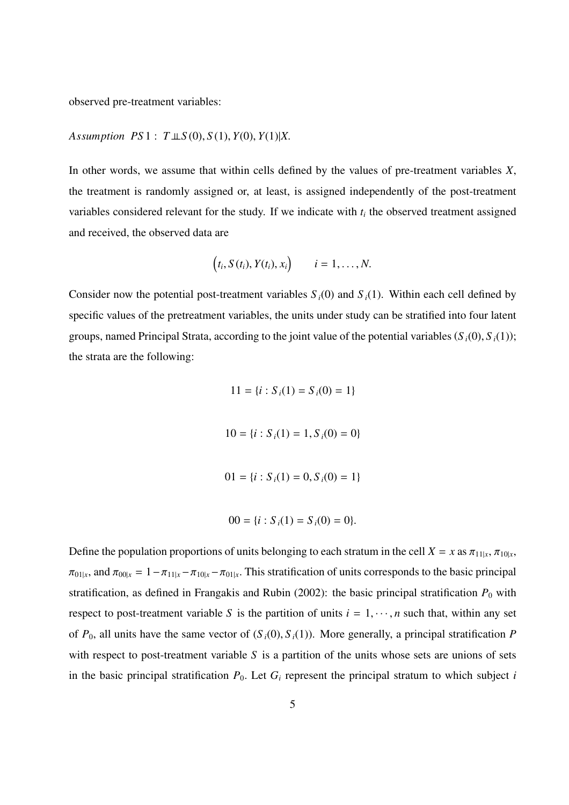observed pre-treatment variables:

#### *Assumption PS* 1 : *T*⊥⊥*S* (0), *S* (1), *Y*(0), *Y*(1)|*X*.

In other words, we assume that within cells defined by the values of pre-treatment variables *X*, the treatment is randomly assigned or, at least, is assigned independently of the post-treatment variables considered relevant for the study. If we indicate with  $t_i$  the observed treatment assigned and received, the observed data are

$$
(t_i, S(t_i), Y(t_i), x_i) \qquad i = 1, \ldots, N.
$$

Consider now the potential post-treatment variables  $S_i(0)$  and  $S_i(1)$ . Within each cell defined by specific values of the pretreatment variables, the units under study can be stratified into four latent groups, named Principal Strata, according to the joint value of the potential variables  $(S_i(0), S_i(1))$ ; the strata are the following:

$$
11 = \{i : S_i(1) = S_i(0) = 1\}
$$
  

$$
10 = \{i : S_i(1) = 1, S_i(0) = 0\}
$$
  

$$
01 = \{i : S_i(1) = 0, S_i(0) = 1\}
$$

$$
00 = \{i : S_i(1) = S_i(0) = 0\}.
$$

Define the population proportions of units belonging to each stratum in the cell  $X = x$  as  $\pi_{11|x}$ ,  $\pi_{10|x}$ ,  $\pi_{01|x}$ , and  $\pi_{00|x} = 1 - \pi_{11|x} - \pi_{10|x} - \pi_{01|x}$ . This stratification of units corresponds to the basic principal stratification, as defined in Frangakis and Rubin (2002): the basic principal stratification  $P_0$  with respect to post-treatment variable *S* is the partition of units  $i = 1, \dots, n$  such that, within any set of  $P_0$ , all units have the same vector of  $(S_i(0), S_i(1))$ . More generally, a principal stratification  $P$ with respect to post-treatment variable *S* is a partition of the units whose sets are unions of sets in the basic principal stratification  $P_0$ . Let  $G_i$  represent the principal stratum to which subject *i*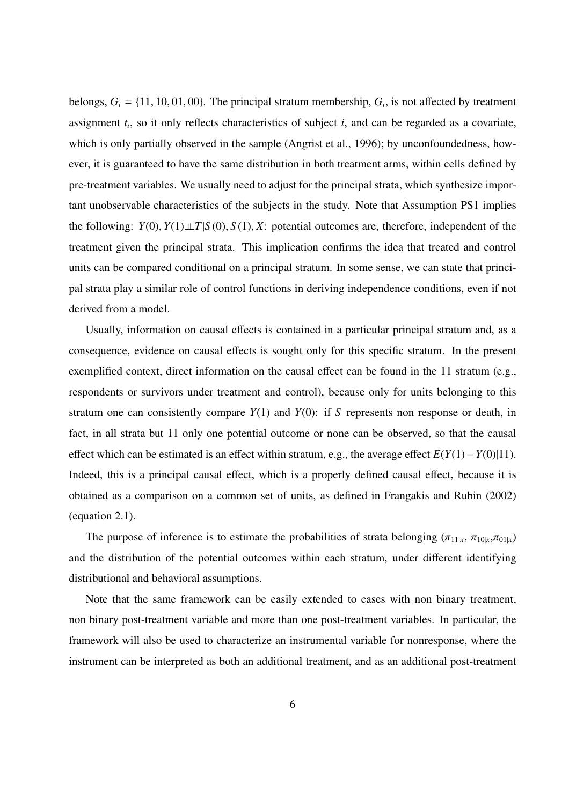belongs,  $G_i = \{11, 10, 01, 00\}$ . The principal stratum membership,  $G_i$ , is not affected by treatment assignment *t<sup>i</sup>* , so it only reflects characteristics of subject *i*, and can be regarded as a covariate, which is only partially observed in the sample (Angrist et al., 1996); by unconfoundedness, however, it is guaranteed to have the same distribution in both treatment arms, within cells defined by pre-treatment variables. We usually need to adjust for the principal strata, which synthesize important unobservable characteristics of the subjects in the study. Note that Assumption PS1 implies the following:  $Y(0)$ ,  $Y(1) \perp T | S(0)$ ,  $S(1)$ ,  $X$ : potential outcomes are, therefore, independent of the treatment given the principal strata. This implication confirms the idea that treated and control units can be compared conditional on a principal stratum. In some sense, we can state that principal strata play a similar role of control functions in deriving independence conditions, even if not derived from a model.

Usually, information on causal effects is contained in a particular principal stratum and, as a consequence, evidence on causal effects is sought only for this specific stratum. In the present exemplified context, direct information on the causal effect can be found in the 11 stratum (e.g., respondents or survivors under treatment and control), because only for units belonging to this stratum one can consistently compare *Y*(1) and *Y*(0): if *S* represents non response or death, in fact, in all strata but 11 only one potential outcome or none can be observed, so that the causal effect which can be estimated is an effect within stratum, e.g., the average effect *E*(*Y*(1)−*Y*(0)|11). Indeed, this is a principal causal effect, which is a properly defined causal effect, because it is obtained as a comparison on a common set of units, as defined in Frangakis and Rubin (2002) (equation 2.1).

The purpose of inference is to estimate the probabilities of strata belonging  $(\pi_{11|x}, \pi_{10|x}, \pi_{01|x})$ and the distribution of the potential outcomes within each stratum, under different identifying distributional and behavioral assumptions.

Note that the same framework can be easily extended to cases with non binary treatment, non binary post-treatment variable and more than one post-treatment variables. In particular, the framework will also be used to characterize an instrumental variable for nonresponse, where the instrument can be interpreted as both an additional treatment, and as an additional post-treatment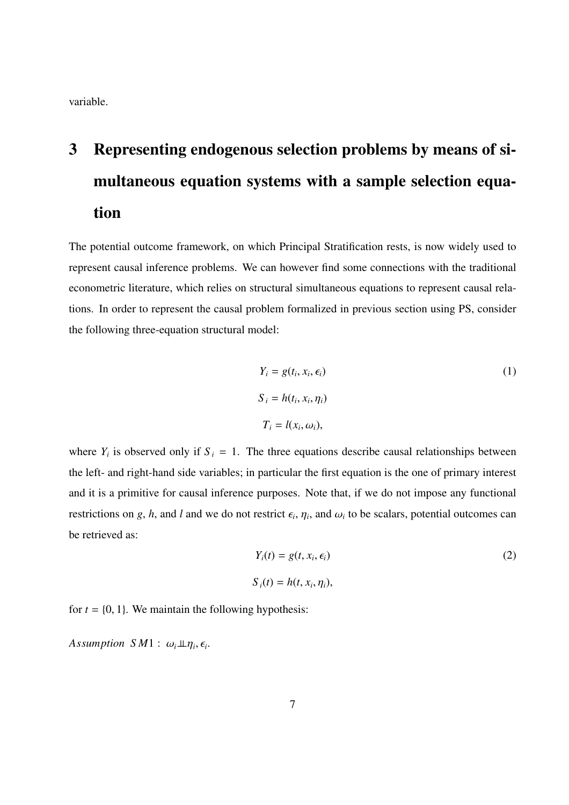variable.

# 3 Representing endogenous selection problems by means of simultaneous equation systems with a sample selection equation

The potential outcome framework, on which Principal Stratification rests, is now widely used to represent causal inference problems. We can however find some connections with the traditional econometric literature, which relies on structural simultaneous equations to represent causal relations. In order to represent the causal problem formalized in previous section using PS, consider the following three-equation structural model:

$$
Y_i = g(t_i, x_i, \epsilon_i)
$$
  
\n
$$
S_i = h(t_i, x_i, \eta_i)
$$
  
\n
$$
T_i = l(x_i, \omega_i),
$$
\n(1)

where  $Y_i$  is observed only if  $S_i = 1$ . The three equations describe causal relationships between the left- and right-hand side variables; in particular the first equation is the one of primary interest and it is a primitive for causal inference purposes. Note that, if we do not impose any functional restrictions on *g*, *h*, and *l* and we do not restrict  $\epsilon_i$ ,  $\eta_i$ , and  $\omega_i$  to be scalars, potential outcomes can be retrieved as:

$$
Y_i(t) = g(t, x_i, \epsilon_i)
$$
  
\n
$$
S_i(t) = h(t, x_i, \eta_i),
$$
\n(2)

for  $t = \{0, 1\}$ . We maintain the following hypothesis:

 $A$ *ssumption*  $SM1: \omega_i \perp \!\!\! \perp \eta_i, \epsilon_i$ .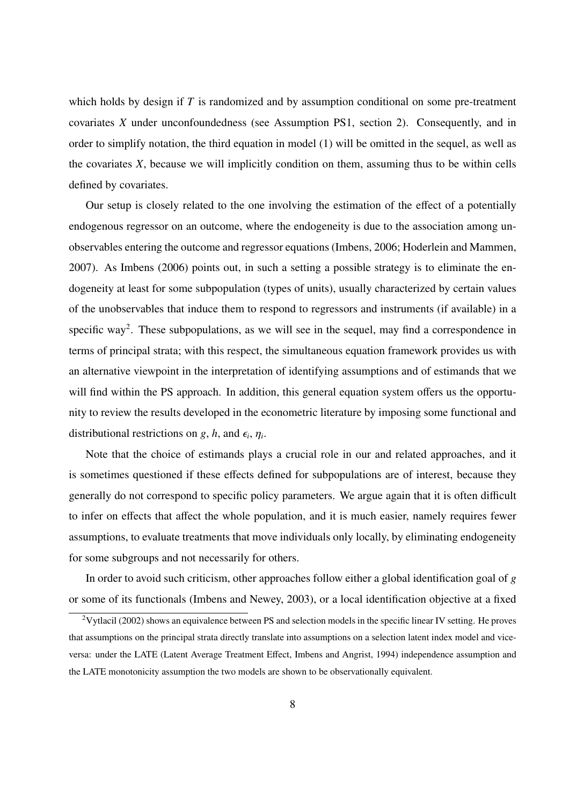which holds by design if *T* is randomized and by assumption conditional on some pre-treatment covariates *X* under unconfoundedness (see Assumption PS1, section 2). Consequently, and in order to simplify notation, the third equation in model (1) will be omitted in the sequel, as well as the covariates *X*, because we will implicitly condition on them, assuming thus to be within cells defined by covariates.

Our setup is closely related to the one involving the estimation of the effect of a potentially endogenous regressor on an outcome, where the endogeneity is due to the association among unobservables entering the outcome and regressor equations (Imbens, 2006; Hoderlein and Mammen, 2007). As Imbens (2006) points out, in such a setting a possible strategy is to eliminate the endogeneity at least for some subpopulation (types of units), usually characterized by certain values of the unobservables that induce them to respond to regressors and instruments (if available) in a specific way<sup>2</sup>. These subpopulations, as we will see in the sequel, may find a correspondence in terms of principal strata; with this respect, the simultaneous equation framework provides us with an alternative viewpoint in the interpretation of identifying assumptions and of estimands that we will find within the PS approach. In addition, this general equation system offers us the opportunity to review the results developed in the econometric literature by imposing some functional and distributional restrictions on *g*, *h*, and  $\epsilon_i$ ,  $\eta_i$ .

Note that the choice of estimands plays a crucial role in our and related approaches, and it is sometimes questioned if these effects defined for subpopulations are of interest, because they generally do not correspond to specific policy parameters. We argue again that it is often difficult to infer on effects that affect the whole population, and it is much easier, namely requires fewer assumptions, to evaluate treatments that move individuals only locally, by eliminating endogeneity for some subgroups and not necessarily for others.

In order to avoid such criticism, other approaches follow either a global identification goal of *g* or some of its functionals (Imbens and Newey, 2003), or a local identification objective at a fixed

<sup>&</sup>lt;sup>2</sup>Vytlacil (2002) shows an equivalence between PS and selection models in the specific linear IV setting. He proves that assumptions on the principal strata directly translate into assumptions on a selection latent index model and viceversa: under the LATE (Latent Average Treatment Effect, Imbens and Angrist, 1994) independence assumption and the LATE monotonicity assumption the two models are shown to be observationally equivalent.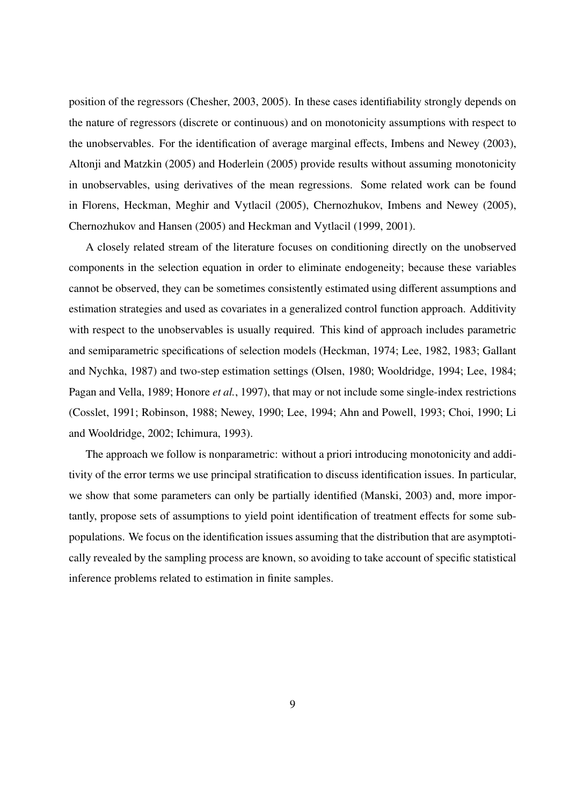position of the regressors (Chesher, 2003, 2005). In these cases identifiability strongly depends on the nature of regressors (discrete or continuous) and on monotonicity assumptions with respect to the unobservables. For the identification of average marginal effects, Imbens and Newey (2003), Altonji and Matzkin (2005) and Hoderlein (2005) provide results without assuming monotonicity in unobservables, using derivatives of the mean regressions. Some related work can be found in Florens, Heckman, Meghir and Vytlacil (2005), Chernozhukov, Imbens and Newey (2005), Chernozhukov and Hansen (2005) and Heckman and Vytlacil (1999, 2001).

A closely related stream of the literature focuses on conditioning directly on the unobserved components in the selection equation in order to eliminate endogeneity; because these variables cannot be observed, they can be sometimes consistently estimated using different assumptions and estimation strategies and used as covariates in a generalized control function approach. Additivity with respect to the unobservables is usually required. This kind of approach includes parametric and semiparametric specifications of selection models (Heckman, 1974; Lee, 1982, 1983; Gallant and Nychka, 1987) and two-step estimation settings (Olsen, 1980; Wooldridge, 1994; Lee, 1984; Pagan and Vella, 1989; Honore *et al.*, 1997), that may or not include some single-index restrictions (Cosslet, 1991; Robinson, 1988; Newey, 1990; Lee, 1994; Ahn and Powell, 1993; Choi, 1990; Li and Wooldridge, 2002; Ichimura, 1993).

The approach we follow is nonparametric: without a priori introducing monotonicity and additivity of the error terms we use principal stratification to discuss identification issues. In particular, we show that some parameters can only be partially identified (Manski, 2003) and, more importantly, propose sets of assumptions to yield point identification of treatment effects for some subpopulations. We focus on the identification issues assuming that the distribution that are asymptotically revealed by the sampling process are known, so avoiding to take account of specific statistical inference problems related to estimation in finite samples.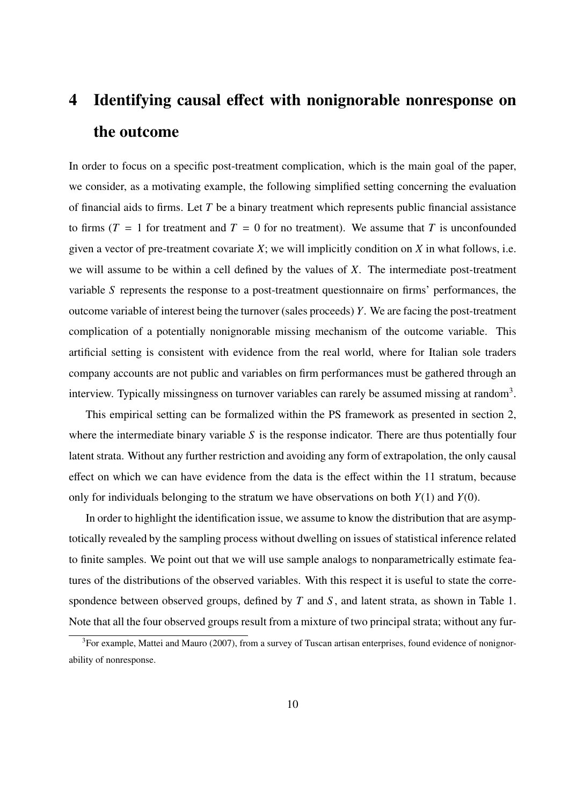## 4 Identifying causal effect with nonignorable nonresponse on the outcome

In order to focus on a specific post-treatment complication, which is the main goal of the paper, we consider, as a motivating example, the following simplified setting concerning the evaluation of financial aids to firms. Let *T* be a binary treatment which represents public financial assistance to firms  $(T = 1$  for treatment and  $T = 0$  for no treatment). We assume that *T* is unconfounded given a vector of pre-treatment covariate *X*; we will implicitly condition on *X* in what follows, i.e. we will assume to be within a cell defined by the values of *X*. The intermediate post-treatment variable *S* represents the response to a post-treatment questionnaire on firms' performances, the outcome variable of interest being the turnover (sales proceeds) *Y*. We are facing the post-treatment complication of a potentially nonignorable missing mechanism of the outcome variable. This artificial setting is consistent with evidence from the real world, where for Italian sole traders company accounts are not public and variables on firm performances must be gathered through an interview. Typically missingness on turnover variables can rarely be assumed missing at random<sup>3</sup>.

This empirical setting can be formalized within the PS framework as presented in section 2, where the intermediate binary variable *S* is the response indicator. There are thus potentially four latent strata. Without any further restriction and avoiding any form of extrapolation, the only causal effect on which we can have evidence from the data is the effect within the 11 stratum, because only for individuals belonging to the stratum we have observations on both *Y*(1) and *Y*(0).

In order to highlight the identification issue, we assume to know the distribution that are asymptotically revealed by the sampling process without dwelling on issues of statistical inference related to finite samples. We point out that we will use sample analogs to nonparametrically estimate features of the distributions of the observed variables. With this respect it is useful to state the correspondence between observed groups, defined by *T* and *S* , and latent strata, as shown in Table 1. Note that all the four observed groups result from a mixture of two principal strata; without any fur-

<sup>&</sup>lt;sup>3</sup>For example, Mattei and Mauro (2007), from a survey of Tuscan artisan enterprises, found evidence of nonignorability of nonresponse.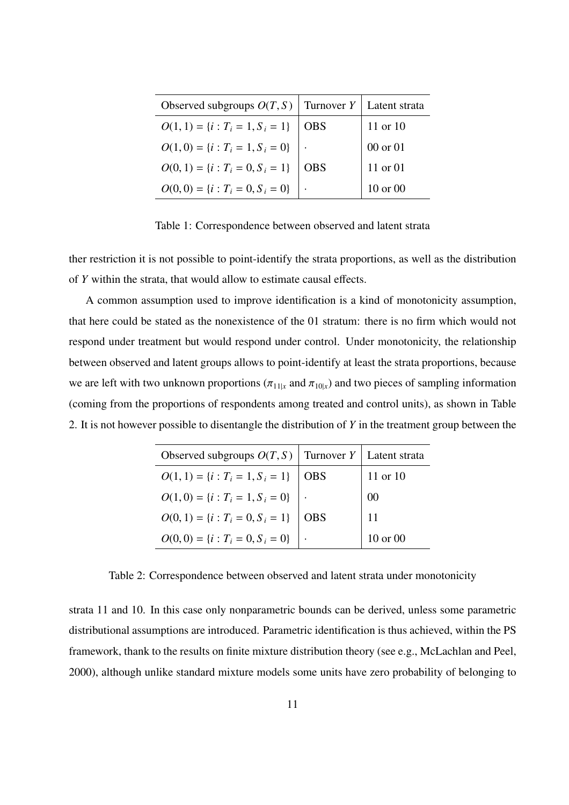| Observed subgroups $O(T, S)$         | Turnover $Y$ | Latent strata       |
|--------------------------------------|--------------|---------------------|
| $O(1, 1) = \{i : T_i = 1, S_i = 1\}$ | <b>OBS</b>   | 11 or 10            |
| $O(1,0) = \{i : T_i = 1, S_i = 0\}$  |              | 00 or 01            |
| $O(0, 1) = \{i : T_i = 0, S_i = 1\}$ | <b>OBS</b>   | 11 or 01            |
| $O(0, 0) = \{i : T_i = 0, S_i = 0\}$ |              | $10 \text{ or } 00$ |

Table 1: Correspondence between observed and latent strata

ther restriction it is not possible to point-identify the strata proportions, as well as the distribution of *Y* within the strata, that would allow to estimate causal effects.

A common assumption used to improve identification is a kind of monotonicity assumption, that here could be stated as the nonexistence of the 01 stratum: there is no firm which would not respond under treatment but would respond under control. Under monotonicity, the relationship between observed and latent groups allows to point-identify at least the strata proportions, because we are left with two unknown proportions ( $\pi_{11|x}$  and  $\pi_{10|x}$ ) and two pieces of sampling information (coming from the proportions of respondents among treated and control units), as shown in Table 2. It is not however possible to disentangle the distribution of *Y* in the treatment group between the

| Observed subgroups $O(T, S)$         | Turnover $Y$ | Latent strata |
|--------------------------------------|--------------|---------------|
| $O(1, 1) = \{i : T_i = 1, S_i = 1\}$ | <b>OBS</b>   | $11$ or $10$  |
| $O(1, 0) = \{i : T_i = 1, S_i = 0\}$ |              | 00            |
| $O(0, 1) = \{i : T_i = 0, S_i = 1\}$ | <b>OBS</b>   | 11            |
| $O(0, 0) = \{i : T_i = 0, S_i = 0\}$ |              | 10 or $00$    |

Table 2: Correspondence between observed and latent strata under monotonicity

strata 11 and 10. In this case only nonparametric bounds can be derived, unless some parametric distributional assumptions are introduced. Parametric identification is thus achieved, within the PS framework, thank to the results on finite mixture distribution theory (see e.g., McLachlan and Peel, 2000), although unlike standard mixture models some units have zero probability of belonging to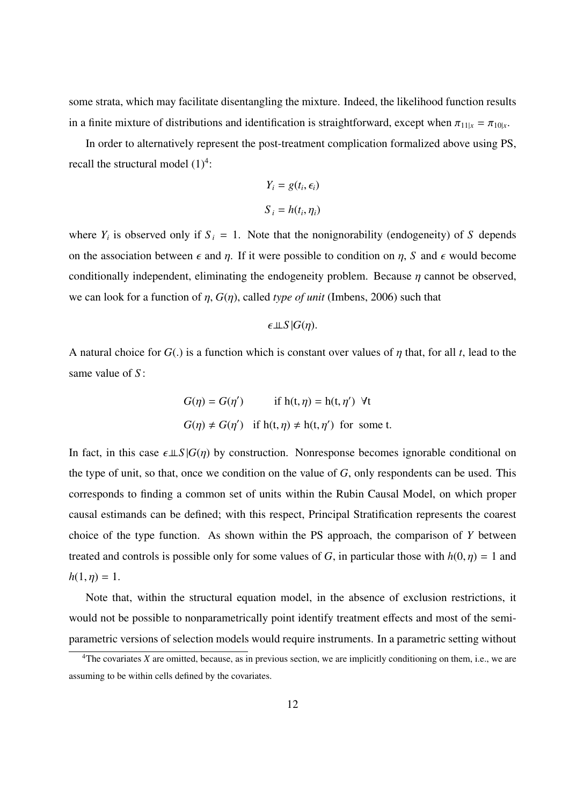some strata, which may facilitate disentangling the mixture. Indeed, the likelihood function results in a finite mixture of distributions and identification is straightforward, except when  $\pi_{11|x} = \pi_{10|x}$ .

In order to alternatively represent the post-treatment complication formalized above using PS, recall the structural model  $(1)^4$ :

$$
Y_i = g(t_i, \epsilon_i)
$$

$$
S_i = h(t_i, \eta_i)
$$

where  $Y_i$  is observed only if  $S_i = 1$ . Note that the nonignorability (endogeneity) of *S* depends on the association between  $\epsilon$  and  $\eta$ . If it were possible to condition on  $\eta$ , *S* and  $\epsilon$  would become conditionally independent, eliminating the endogeneity problem. Because  $\eta$  cannot be observed, we can look for a function of η, *G*(η), called *type of unit* (Imbens, 2006) such that

$$
\epsilon \bot \bot S | G(\eta).
$$

A natural choice for  $G(.)$  is a function which is constant over values of  $\eta$  that, for all *t*, lead to the same value of *S* :

$$
G(\eta) = G(\eta') \qquad \text{if } h(t, \eta) = h(t, \eta') \ \forall t
$$
  

$$
G(\eta) \neq G(\eta') \quad \text{if } h(t, \eta) \neq h(t, \eta') \ \text{for some } t.
$$

In fact, in this case  $\epsilon \perp S |G(\eta)$  by construction. Nonresponse becomes ignorable conditional on the type of unit, so that, once we condition on the value of *G*, only respondents can be used. This corresponds to finding a common set of units within the Rubin Causal Model, on which proper causal estimands can be defined; with this respect, Principal Stratification represents the coarest choice of the type function. As shown within the PS approach, the comparison of *Y* between treated and controls is possible only for some values of *G*, in particular those with  $h(0, \eta) = 1$  and  $h(1, \eta) = 1.$ 

Note that, within the structural equation model, in the absence of exclusion restrictions, it would not be possible to nonparametrically point identify treatment effects and most of the semiparametric versions of selection models would require instruments. In a parametric setting without

 $4$ The covariates *X* are omitted, because, as in previous section, we are implicitly conditioning on them, i.e., we are assuming to be within cells defined by the covariates.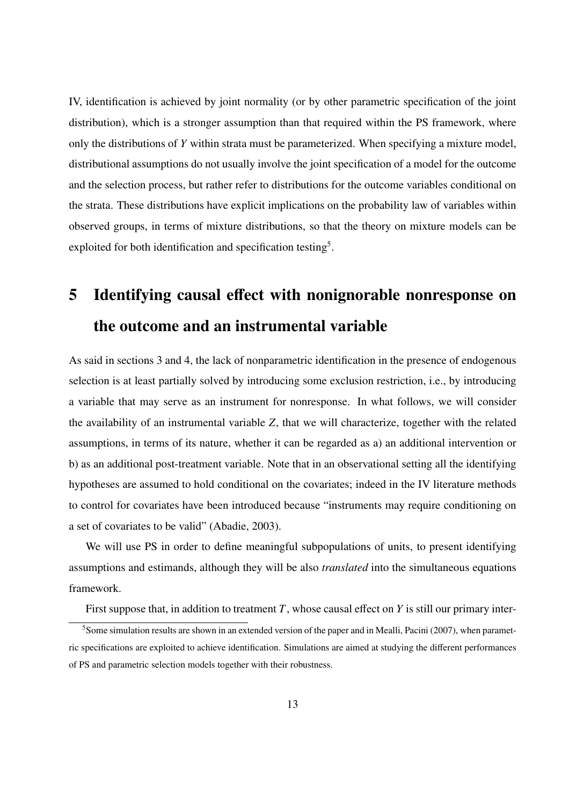IV, identification is achieved by joint normality (or by other parametric specification of the joint distribution), which is a stronger assumption than that required within the PS framework, where only the distributions of *Y* within strata must be parameterized. When specifying a mixture model, distributional assumptions do not usually involve the joint specification of a model for the outcome and the selection process, but rather refer to distributions for the outcome variables conditional on the strata. These distributions have explicit implications on the probability law of variables within observed groups, in terms of mixture distributions, so that the theory on mixture models can be exploited for both identification and specification testing<sup>5</sup>.

## 5 Identifying causal effect with nonignorable nonresponse on the outcome and an instrumental variable

As said in sections 3 and 4, the lack of nonparametric identification in the presence of endogenous selection is at least partially solved by introducing some exclusion restriction, i.e., by introducing a variable that may serve as an instrument for nonresponse. In what follows, we will consider the availability of an instrumental variable *Z*, that we will characterize, together with the related assumptions, in terms of its nature, whether it can be regarded as a) an additional intervention or b) as an additional post-treatment variable. Note that in an observational setting all the identifying hypotheses are assumed to hold conditional on the covariates; indeed in the IV literature methods to control for covariates have been introduced because "instruments may require conditioning on a set of covariates to be valid" (Abadie, 2003).

We will use PS in order to define meaningful subpopulations of units, to present identifying assumptions and estimands, although they will be also *translated* into the simultaneous equations framework.

First suppose that, in addition to treatment *T*, whose causal effect on *Y* is still our primary inter-

<sup>5</sup>Some simulation results are shown in an extended version of the paper and in Mealli, Pacini (2007), when parametric specifications are exploited to achieve identification. Simulations are aimed at studying the different performances of PS and parametric selection models together with their robustness.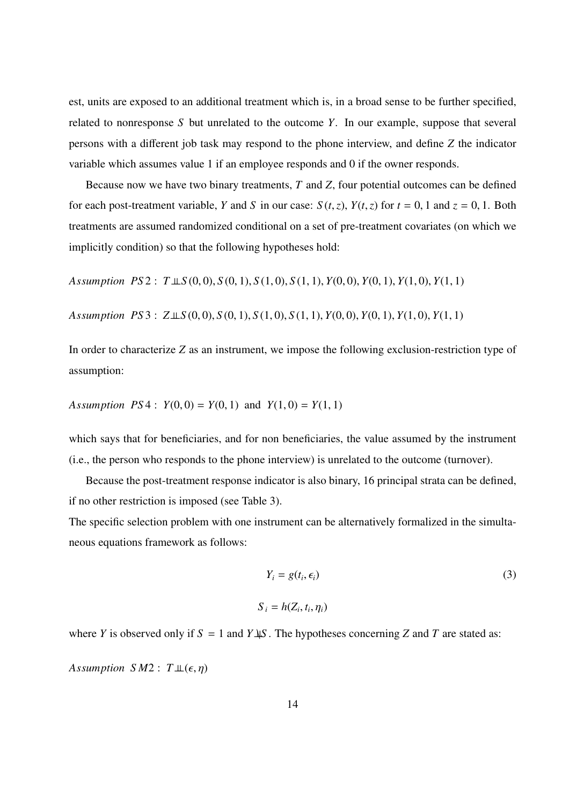est, units are exposed to an additional treatment which is, in a broad sense to be further specified, related to nonresponse *S* but unrelated to the outcome *Y*. In our example, suppose that several persons with a different job task may respond to the phone interview, and define *Z* the indicator variable which assumes value 1 if an employee responds and 0 if the owner responds.

Because now we have two binary treatments, *T* and *Z*, four potential outcomes can be defined for each post-treatment variable, *Y* and *S* in our case:  $S(t, z)$ ,  $Y(t, z)$  for  $t = 0, 1$  and  $z = 0, 1$ . Both treatments are assumed randomized conditional on a set of pre-treatment covariates (on which we implicitly condition) so that the following hypotheses hold:

*Assumption PS* 2 : *T*⊥⊥*S* (0, 0), *S* (0, 1), *S* (1, 0), *S* (1, 1), *Y*(0, 0), *Y*(0, 1), *Y*(1, 0), *Y*(1, 1)

*Assumption PS* 3 : *Z*⊥⊥*S* (0, 0), *S* (0, 1), *S* (1, 0), *S* (1, 1), *Y*(0, 0), *Y*(0, 1), *Y*(1, 0), *Y*(1, 1)

In order to characterize *Z* as an instrument, we impose the following exclusion-restriction type of assumption:

*Assumption PS* 4 :  $Y(0, 0) = Y(0, 1)$  and  $Y(1, 0) = Y(1, 1)$ 

which says that for beneficiaries, and for non beneficiaries, the value assumed by the instrument (i.e., the person who responds to the phone interview) is unrelated to the outcome (turnover).

Because the post-treatment response indicator is also binary, 16 principal strata can be defined, if no other restriction is imposed (see Table 3).

The specific selection problem with one instrument can be alternatively formalized in the simultaneous equations framework as follows:

$$
Y_i = g(t_i, \epsilon_i) \tag{3}
$$

$$
S_i = h(Z_i, t_i, \eta_i)
$$

where *Y* is observed only if  $S = 1$  and  $Y \perp S$ . The hypotheses concerning *Z* and *T* are stated as: *Assumption SM2* :  $T \perp ( \epsilon, \eta )$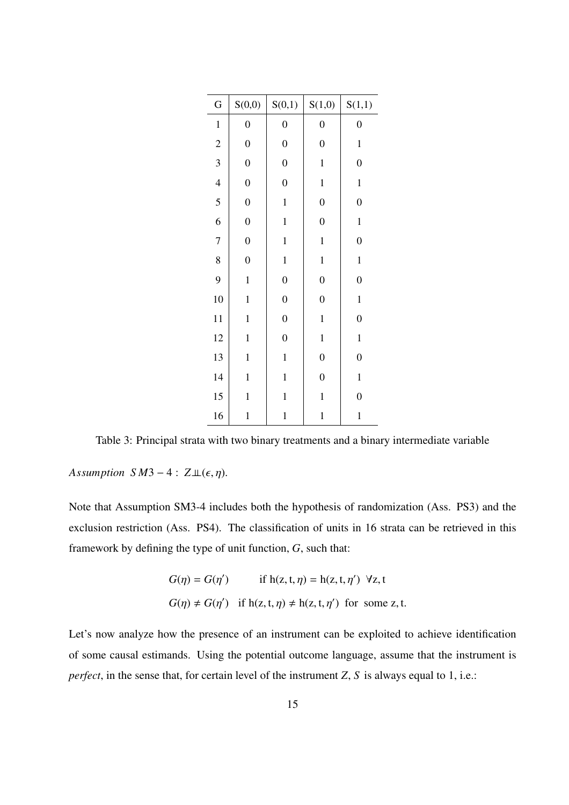| G                       | S(0,0)           | S(0,1)           | S(1,0)           | S(1,1)           |
|-------------------------|------------------|------------------|------------------|------------------|
| $\mathbf{1}$            | $\boldsymbol{0}$ | $\boldsymbol{0}$ | $\boldsymbol{0}$ | $\boldsymbol{0}$ |
| $\overline{c}$          | $\boldsymbol{0}$ | $\boldsymbol{0}$ | $\boldsymbol{0}$ | $\mathbf{1}$     |
| $\overline{\mathbf{3}}$ | $\boldsymbol{0}$ | $\boldsymbol{0}$ | $\mathbf{1}$     | $\boldsymbol{0}$ |
| $\overline{4}$          | $\boldsymbol{0}$ | $\boldsymbol{0}$ | $\mathbf{1}$     | $\mathbf{1}$     |
| 5                       | $\boldsymbol{0}$ | $\mathbf 1$      | $\boldsymbol{0}$ | $\boldsymbol{0}$ |
| 6                       | $\boldsymbol{0}$ | $\mathbf{1}$     | $\boldsymbol{0}$ | $\mathbf{1}$     |
| $\overline{7}$          | $\boldsymbol{0}$ | $\mathbf{1}$     | $\mathbf{1}$     | $\boldsymbol{0}$ |
| 8                       | $\boldsymbol{0}$ | $\mathbf 1$      | $\mathbf{1}$     | $\mathbf{1}$     |
| 9                       | $\mathbf{1}$     | $\boldsymbol{0}$ | $\boldsymbol{0}$ | $\boldsymbol{0}$ |
| 10                      | $\mathbf{1}$     | $\boldsymbol{0}$ | $\boldsymbol{0}$ | $\mathbf{1}$     |
| 11                      | $\mathbf{1}$     | $\boldsymbol{0}$ | $\mathbf{1}$     | $\boldsymbol{0}$ |
| 12                      | $\mathbf{1}$     | $\boldsymbol{0}$ | $\mathbf{1}$     | $\mathbf{1}$     |
| 13                      | $\mathbf{1}$     | $\mathbf 1$      | $\boldsymbol{0}$ | $\boldsymbol{0}$ |
| 14                      | $\mathbf{1}$     | $\mathbf{1}$     | $\boldsymbol{0}$ | $\mathbf{1}$     |
| 15                      | $\mathbf{1}$     | $\mathbf{1}$     | $\mathbf{1}$     | $\boldsymbol{0}$ |
| 16                      | $\mathbf 1$      | $\mathbf{1}$     | $\mathbf{1}$     | $\mathbf{1}$     |

Table 3: Principal strata with two binary treatments and a binary intermediate variable

*Assumption SM3* – 4 :  $Z \perp ( \epsilon, \eta ).$ 

Note that Assumption SM3-4 includes both the hypothesis of randomization (Ass. PS3) and the exclusion restriction (Ass. PS4). The classification of units in 16 strata can be retrieved in this framework by defining the type of unit function, *G*, such that:

$$
G(\eta) = G(\eta') \qquad \text{if } h(z, t, \eta) = h(z, t, \eta') \ \forall z, t
$$
  

$$
G(\eta) \neq G(\eta') \quad \text{if } h(z, t, \eta) \neq h(z, t, \eta') \text{ for some } z, t.
$$

Let's now analyze how the presence of an instrument can be exploited to achieve identification of some causal estimands. Using the potential outcome language, assume that the instrument is *perfect*, in the sense that, for certain level of the instrument *Z*, *S* is always equal to 1, i.e.: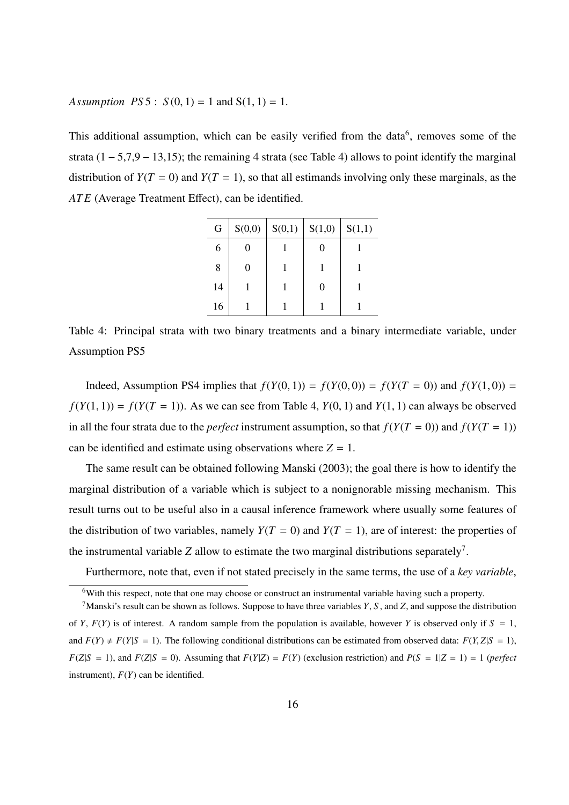*Assumption PS* 5 :  $S(0, 1) = 1$  and  $S(1, 1) = 1$ .

This additional assumption, which can be easily verified from the data $6$ , removes some of the strata  $(1 - 5,7,9 - 13,15)$ ; the remaining 4 strata (see Table 4) allows to point identify the marginal distribution of  $Y(T = 0)$  and  $Y(T = 1)$ , so that all estimands involving only these marginals, as the *AT E* (Average Treatment Effect), can be identified.

| G  | S(0,0) | S(0,1) | S(1,0)<br>$\mathsf{I}$ | S(1,1) |
|----|--------|--------|------------------------|--------|
| 6  | 0      |        | 0                      |        |
| 8  | 0      |        |                        |        |
| 14 |        |        | $\Omega$               |        |
| 16 |        |        |                        |        |

Table 4: Principal strata with two binary treatments and a binary intermediate variable, under Assumption PS5

Indeed, Assumption PS4 implies that  $f(Y(0, 1)) = f(Y(0, 0)) = f(Y(T = 0))$  and  $f(Y(1, 0)) =$  $f(Y(1, 1)) = f(Y(T = 1))$ . As we can see from Table 4,  $Y(0, 1)$  and  $Y(1, 1)$  can always be observed in all the four strata due to the *perfect* instrument assumption, so that  $f(Y(T = 0))$  and  $f(Y(T = 1))$ can be identified and estimate using observations where  $Z = 1$ .

The same result can be obtained following Manski (2003); the goal there is how to identify the marginal distribution of a variable which is subject to a nonignorable missing mechanism. This result turns out to be useful also in a causal inference framework where usually some features of the distribution of two variables, namely  $Y(T = 0)$  and  $Y(T = 1)$ , are of interest: the properties of the instrumental variable  $Z$  allow to estimate the two marginal distributions separately<sup>7</sup>.

Furthermore, note that, even if not stated precisely in the same terms, the use of a *key variable*,

<sup>6</sup>With this respect, note that one may choose or construct an instrumental variable having such a property.

<sup>&</sup>lt;sup>7</sup>Manski's result can be shown as follows. Suppose to have three variables  $Y, S$ , and  $Z$ , and suppose the distribution of *Y*,  $F(Y)$  is of interest. A random sample from the population is available, however *Y* is observed only if  $S = 1$ , and  $F(Y) \neq F(Y|S = 1)$ . The following conditional distributions can be estimated from observed data:  $F(Y, Z|S = 1)$ ,  $F(Z|S = 1)$ , and  $F(Z|S = 0)$ . Assuming that  $F(Y|Z) = F(Y)$  (exclusion restriction) and  $P(S = 1|Z = 1) = 1$  (*perfect* instrument),  $F(Y)$  can be identified.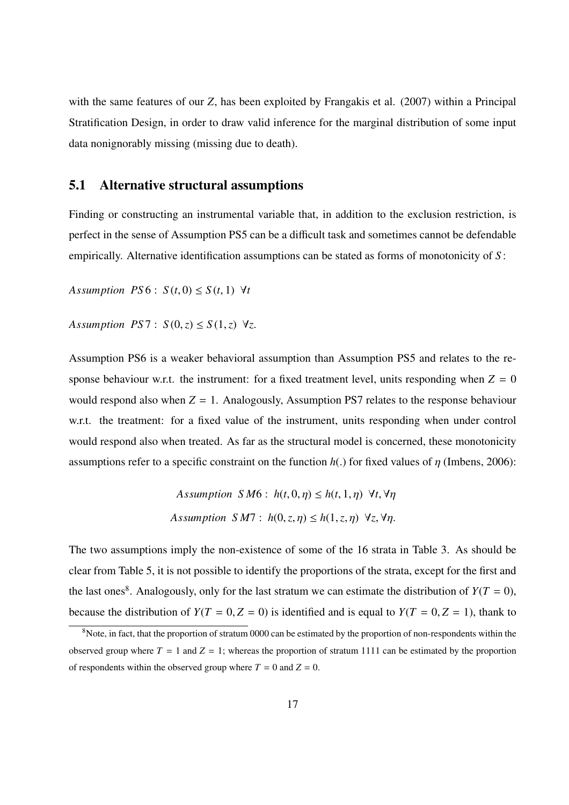with the same features of our *Z*, has been exploited by Frangakis et al. (2007) within a Principal Stratification Design, in order to draw valid inference for the marginal distribution of some input data nonignorably missing (missing due to death).

#### 5.1 Alternative structural assumptions

Finding or constructing an instrumental variable that, in addition to the exclusion restriction, is perfect in the sense of Assumption PS5 can be a difficult task and sometimes cannot be defendable empirically. Alternative identification assumptions can be stated as forms of monotonicity of *S* :

*Assumption PS* 6 :  $S(t, 0) \leq S(t, 1)$   $\forall t$ 

*Assumption PS* 7 :  $S(0, z) \le S(1, z)$   $\forall z$ .

Assumption PS6 is a weaker behavioral assumption than Assumption PS5 and relates to the response behaviour w.r.t. the instrument: for a fixed treatment level, units responding when  $Z = 0$ would respond also when  $Z = 1$ . Analogously, Assumption PS7 relates to the response behaviour w.r.t. the treatment: for a fixed value of the instrument, units responding when under control would respond also when treated. As far as the structural model is concerned, these monotonicity assumptions refer to a specific constraint on the function  $h(.)$  for fixed values of  $\eta$  (Imbens, 2006):

Assumption S M6: 
$$
h(t, 0, \eta) \le h(t, 1, \eta)
$$
  $\forall t, \forall \eta$   
Assumption S M7:  $h(0, z, \eta) \le h(1, z, \eta)$   $\forall z, \forall \eta$ .

The two assumptions imply the non-existence of some of the 16 strata in Table 3. As should be clear from Table 5, it is not possible to identify the proportions of the strata, except for the first and the last ones<sup>8</sup>. Analogously, only for the last stratum we can estimate the distribution of  $Y(T = 0)$ , because the distribution of  $Y(T = 0, Z = 0)$  is identified and is equal to  $Y(T = 0, Z = 1)$ , thank to

 $8$ Note, in fact, that the proportion of stratum 0000 can be estimated by the proportion of non-respondents within the observed group where  $T = 1$  and  $Z = 1$ ; whereas the proportion of stratum 1111 can be estimated by the proportion of respondents within the observed group where  $T = 0$  and  $Z = 0$ .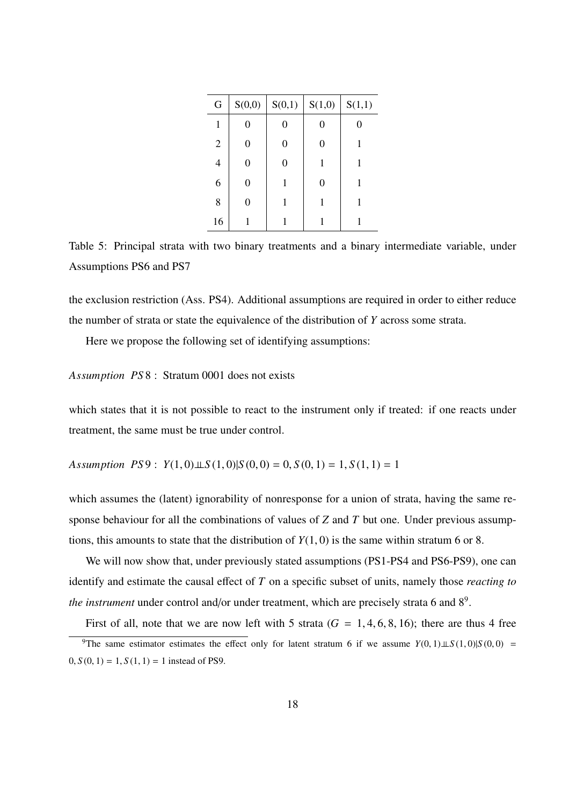| G              | S(0,0) | S(0,1)           | S(1,0)   | S(1,1) |
|----------------|--------|------------------|----------|--------|
| 1              |        | 0                | $\Omega$ | 0      |
| $\overline{2}$ | 0      | $\boldsymbol{0}$ | 0        |        |
| 4              | 0      | 0                |          |        |
| 6              | 0      |                  | 0        |        |
| 8              |        |                  |          |        |
| 16             |        |                  |          |        |

Table 5: Principal strata with two binary treatments and a binary intermediate variable, under Assumptions PS6 and PS7

the exclusion restriction (Ass. PS4). Additional assumptions are required in order to either reduce the number of strata or state the equivalence of the distribution of *Y* across some strata.

Here we propose the following set of identifying assumptions:

#### *Assumption PS* 8 : Stratum 0001 does not exists

which states that it is not possible to react to the instrument only if treated: if one reacts under treatment, the same must be true under control.

*Assumption PS* 9 :  $Y(1,0)\perp S(1,0)|S(0,0) = 0, S(0,1) = 1, S(1,1) = 1$ 

which assumes the (latent) ignorability of nonresponse for a union of strata, having the same response behaviour for all the combinations of values of *Z* and *T* but one. Under previous assumptions, this amounts to state that the distribution of *Y*(1, 0) is the same within stratum 6 or 8.

We will now show that, under previously stated assumptions (PS1-PS4 and PS6-PS9), one can identify and estimate the causal effect of *T* on a specific subset of units, namely those *reacting to* the instrument under control and/or under treatment, which are precisely strata 6 and 8<sup>9</sup>.

First of all, note that we are now left with 5 strata  $(G = 1, 4, 6, 8, 16)$ ; there are thus 4 free <sup>9</sup>The same estimator estimates the effect only for latent stratum 6 if we assume  $Y(0, 1) \perp S(1, 0) | S(0, 0) =$  $0, S(0, 1) = 1, S(1, 1) = 1$  instead of PS9.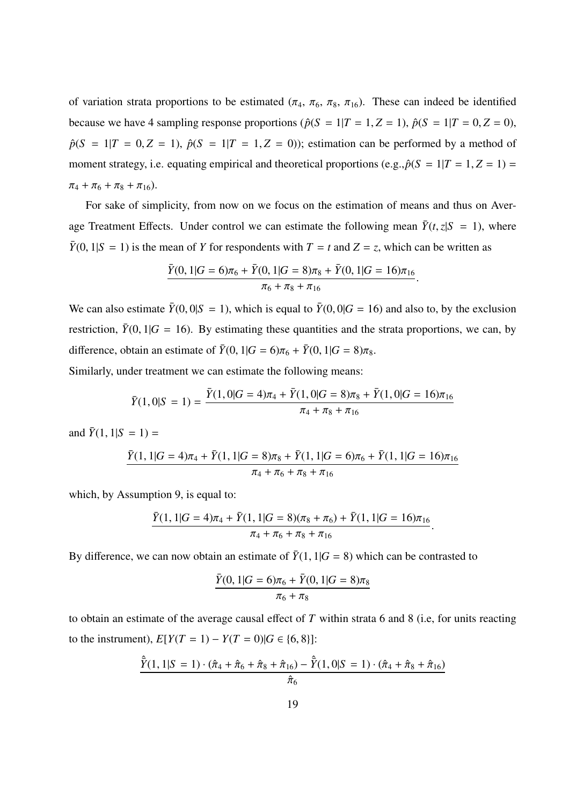of variation strata proportions to be estimated ( $\pi_4$ ,  $\pi_6$ ,  $\pi_8$ ,  $\pi_{16}$ ). These can indeed be identified because we have 4 sampling response proportions ( $\hat{p}(S = 1|T = 1, Z = 1)$ ,  $\hat{p}(S = 1|T = 0, Z = 0)$ ),  $\hat{p}(S = 1|T = 0, Z = 1)$ ,  $\hat{p}(S = 1|T = 1, Z = 0)$ ; estimation can be performed by a method of moment strategy, i.e. equating empirical and theoretical proportions (e.g.,  $\hat{p}(S = 1|T = 1, Z = 1)$ )  $\pi_4 + \pi_6 + \pi_8 + \pi_{16}$ .

For sake of simplicity, from now on we focus on the estimation of means and thus on Average Treatment Effects. Under control we can estimate the following mean  $\bar{Y}(t, z|S = 1)$ , where  $\bar{Y}(0, 1|S = 1)$  is the mean of *Y* for respondents with  $T = t$  and  $Z = z$ , which can be written as

$$
\frac{\bar{Y}(0,1|G=6)\pi_6+\bar{Y}(0,1|G=8)\pi_8+\bar{Y}(0,1|G=16)\pi_{16}}{\pi_6+\pi_8+\pi_{16}}.
$$

We can also estimate  $\bar{Y}(0, 0|S = 1)$ , which is equal to  $\bar{Y}(0, 0|G = 16)$  and also to, by the exclusion restriction,  $\bar{Y}(0, 1|G = 16)$ . By estimating these quantities and the strata proportions, we can, by difference, obtain an estimate of  $\bar{Y}(0, 1|G = 6)\pi_6 + \bar{Y}(0, 1|G = 8)\pi_8$ .

Similarly, under treatment we can estimate the following means:

$$
\bar{Y}(1,0|S=1) = \frac{\bar{Y}(1,0|G=4)\pi_4 + \bar{Y}(1,0|G=8)\pi_8 + \bar{Y}(1,0|G=16)\pi_{16}}{\pi_4 + \pi_8 + \pi_{16}}
$$

and  $\bar{Y}(1, 1|S = 1) =$ 

$$
\frac{\bar{Y}(1,1|G=4)\pi_4 + \bar{Y}(1,1|G=8)\pi_8 + \bar{Y}(1,1|G=6)\pi_6 + \bar{Y}(1,1|G=16)\pi_{16}}{\pi_4 + \pi_6 + \pi_8 + \pi_{16}}
$$

which, by Assumption 9, is equal to:

$$
\frac{\bar{Y}(1,1|G=4)\pi_4 + \bar{Y}(1,1|G=8)(\pi_8+\pi_6) + \bar{Y}(1,1|G=16)\pi_{16}}{\pi_4+\pi_6+\pi_8+\pi_{16}}.
$$

By difference, we can now obtain an estimate of  $\bar{Y}(1, 1|G = 8)$  which can be contrasted to

$$
\frac{\bar{Y}(0,1|G=6)\pi_6 + \bar{Y}(0,1|G=8)\pi_8}{\pi_6 + \pi_8}
$$

to obtain an estimate of the average causal effect of *T* within strata 6 and 8 (i.e, for units reacting to the instrument),  $E[Y(T = 1) - Y(T = 0)|G ∈ {6, 8}]$ :

$$
\frac{\hat{\bar{Y}}(1,1|S=1) \cdot (\hat{\pi}_4 + \hat{\pi}_6 + \hat{\pi}_8 + \hat{\pi}_{16}) - \hat{\bar{Y}}(1,0|S=1) \cdot (\hat{\pi}_4 + \hat{\pi}_8 + \hat{\pi}_{16})}{\hat{\pi}_6}
$$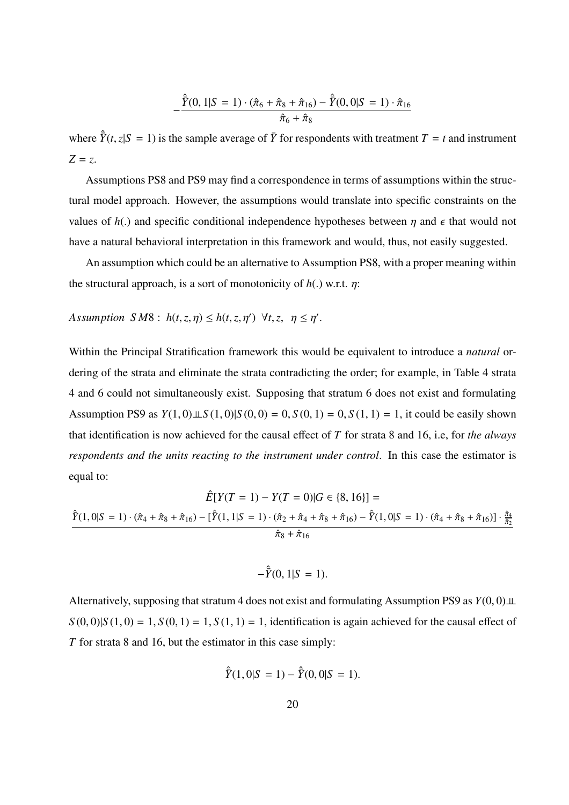$$
-\frac{\hat{\bar{Y}}(0,1|S=1) \cdot (\hat{\pi}_6 + \hat{\pi}_8 + \hat{\pi}_{16}) - \hat{\bar{Y}}(0,0|S=1) \cdot \hat{\pi}_{16}}{\hat{\pi}_6 + \hat{\pi}_8}
$$

where  $\hat{Y}(t, z | S = 1)$  is the sample average of  $\bar{Y}$  for respondents with treatment  $T = t$  and instrument  $Z = z$ .

Assumptions PS8 and PS9 may find a correspondence in terms of assumptions within the structural model approach. However, the assumptions would translate into specific constraints on the values of  $h(.)$  and specific conditional independence hypotheses between  $\eta$  and  $\epsilon$  that would not have a natural behavioral interpretation in this framework and would, thus, not easily suggested.

An assumption which could be an alternative to Assumption PS8, with a proper meaning within the structural approach, is a sort of monotonicity of  $h(.)$  w.r.t.  $\eta$ :

*Assumption*  $SM8: h(t, z, \eta) \leq h(t, z, \eta') \ \forall t, z, \ \eta \leq \eta'.$ 

Within the Principal Stratification framework this would be equivalent to introduce a *natural* ordering of the strata and eliminate the strata contradicting the order; for example, in Table 4 strata 4 and 6 could not simultaneously exist. Supposing that stratum 6 does not exist and formulating Assumption PS9 as  $Y(1, 0) \perp S(1, 0)|S(0, 0)| = 0$ ,  $S(0, 1) = 0$ ,  $S(1, 1) = 1$ , it could be easily shown that identification is now achieved for the causal effect of *T* for strata 8 and 16, i.e, for *the always respondents and the units reacting to the instrument under control*. In this case the estimator is equal to:

$$
\hat{E}[Y(T = 1) - Y(T = 0)|G \in \{8, 16\}] =
$$
\n
$$
\frac{\hat{\bar{Y}}(1,0|S = 1) \cdot (\hat{\pi}_4 + \hat{\pi}_8 + \hat{\pi}_{16}) - [\hat{\bar{Y}}(1,1|S = 1) \cdot (\hat{\pi}_2 + \hat{\pi}_4 + \hat{\pi}_8 + \hat{\pi}_{16}) - \hat{\bar{Y}}(1,0|S = 1) \cdot (\hat{\pi}_4 + \hat{\pi}_8 + \hat{\pi}_{16})] \cdot \frac{\hat{\pi}_4}{\hat{\pi}_2}
$$
\n
$$
\hat{\pi}_8 + \hat{\pi}_{16}
$$

$$
-\hat{\bar{Y}}(0,1|S=1).
$$

Alternatively, supposing that stratum 4 does not exist and formulating Assumption PS9 as *Y*(0, 0)⊥  $S(0,0)|S(1,0) = 1, S(0,1) = 1, S(1,1) = 1$ , identification is again achieved for the causal effect of *T* for strata 8 and 16, but the estimator in this case simply:

$$
\hat{\bar{Y}}(1,0|S=1) - \hat{\bar{Y}}(0,0|S=1).
$$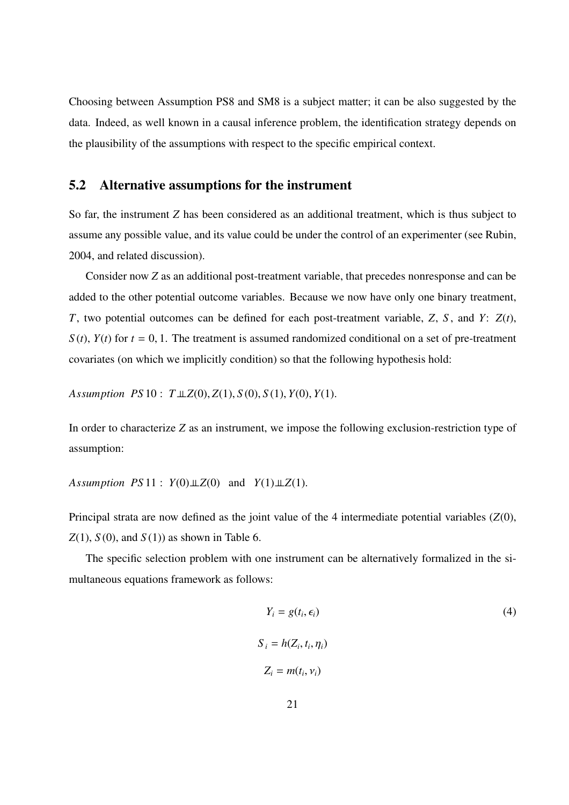Choosing between Assumption PS8 and SM8 is a subject matter; it can be also suggested by the data. Indeed, as well known in a causal inference problem, the identification strategy depends on the plausibility of the assumptions with respect to the specific empirical context.

#### 5.2 Alternative assumptions for the instrument

So far, the instrument *Z* has been considered as an additional treatment, which is thus subject to assume any possible value, and its value could be under the control of an experimenter (see Rubin, 2004, and related discussion).

Consider now *Z* as an additional post-treatment variable, that precedes nonresponse and can be added to the other potential outcome variables. Because we now have only one binary treatment, *T*, two potential outcomes can be defined for each post-treatment variable, *Z*, *S* , and *Y*: *Z*(*t*),  $S(t)$ ,  $Y(t)$  for  $t = 0, 1$ . The treatment is assumed randomized conditional on a set of pre-treatment covariates (on which we implicitly condition) so that the following hypothesis hold:

*Assumption PS* 10 : *T*⊥*Z*(0), *Z*(1), *S*(0), *S*(1), *Y*(0), *Y*(1).

In order to characterize *Z* as an instrument, we impose the following exclusion-restriction type of assumption:

*Assumption PS* 11 :  $Y(0) \perp Z(0)$  and  $Y(1) \perp Z(1)$ .

Principal strata are now defined as the joint value of the 4 intermediate potential variables (*Z*(0),  $Z(1)$ ,  $S(0)$ , and  $S(1)$ ) as shown in Table 6.

The specific selection problem with one instrument can be alternatively formalized in the simultaneous equations framework as follows:

$$
Y_i = g(t_i, \epsilon_i)
$$
\n
$$
S_i = h(Z_i, t_i, \eta_i)
$$
\n
$$
Z_i = m(t_i, v_i)
$$
\n
$$
(4)
$$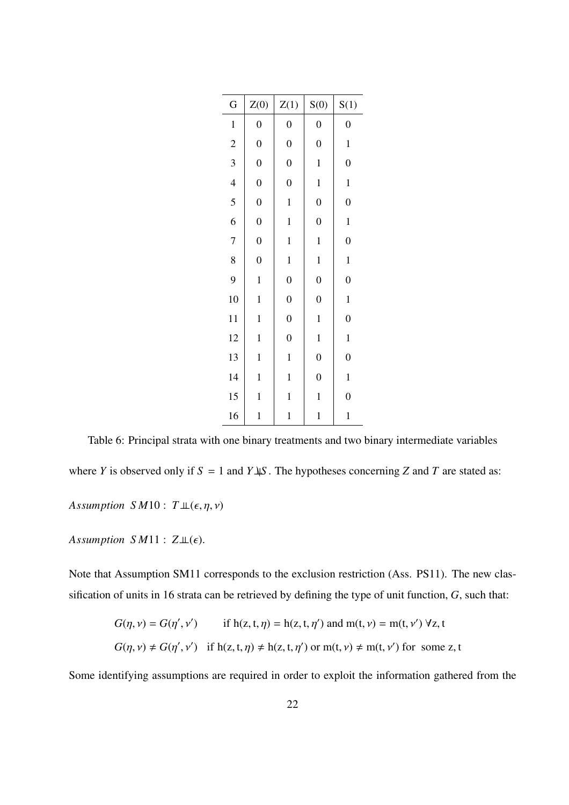| G              | Z(0)             | Z(1)             | S(0)             | S(1)             |
|----------------|------------------|------------------|------------------|------------------|
| $\mathbf{1}$   | $\boldsymbol{0}$ | $\boldsymbol{0}$ | $\boldsymbol{0}$ | $\overline{0}$   |
| $\overline{c}$ | $\boldsymbol{0}$ | $\boldsymbol{0}$ | $\boldsymbol{0}$ | $\mathbf{1}$     |
| 3              | $\boldsymbol{0}$ | $\boldsymbol{0}$ | $\mathbf{1}$     | $\overline{0}$   |
| $\overline{4}$ | $\boldsymbol{0}$ | $\boldsymbol{0}$ | $\mathbf{1}$     | $\mathbf{1}$     |
| 5              | $\boldsymbol{0}$ | $\mathbf{1}$     | $\boldsymbol{0}$ | $\overline{0}$   |
| 6              | $\boldsymbol{0}$ | $\mathbf{1}$     | $\boldsymbol{0}$ | $\mathbf{1}$     |
| $\overline{7}$ | $\boldsymbol{0}$ | $\mathbf{1}$     | $\mathbf{1}$     | $\boldsymbol{0}$ |
| 8              | $\overline{0}$   | $\mathbf{1}$     | $\mathbf{1}$     | $\mathbf{1}$     |
| 9              | $\mathbf{1}$     | $\boldsymbol{0}$ | $\boldsymbol{0}$ | $\boldsymbol{0}$ |
| 10             | $\mathbf{1}$     | $\boldsymbol{0}$ | $\boldsymbol{0}$ | $\mathbf{1}$     |
| 11             | $\mathbf{1}$     | $\boldsymbol{0}$ | $\mathbf{1}$     | $\overline{0}$   |
| 12             | $\mathbf{1}$     | $\overline{0}$   | $\mathbf{1}$     | $\mathbf{1}$     |
| 13             | $\mathbf{1}$     | $\mathbf{1}$     | $\boldsymbol{0}$ | $\overline{0}$   |
| 14             | $\mathbf{1}$     | $\mathbf{1}$     | $\boldsymbol{0}$ | $\mathbf{1}$     |
| 15             | $\mathbf{1}$     | $\mathbf{1}$     | $\mathbf{1}$     | $\overline{0}$   |
| 16             | $\mathbf{1}$     | $\mathbf{1}$     | $\mathbf{1}$     | $\mathbf{1}$     |

Table 6: Principal strata with one binary treatments and two binary intermediate variables where *Y* is observed only if  $S = 1$  and  $Y \downarrow S$ . The hypotheses concerning *Z* and *T* are stated as: *Assumption SM10 : T* $\mathcal{L}(\epsilon, \eta, \nu)$ 

*Assumption SM11* :  $Z\perp\!\!\!\perp(\epsilon)$ .

Note that Assumption SM11 corresponds to the exclusion restriction (Ass. PS11). The new classification of units in 16 strata can be retrieved by defining the type of unit function, *G*, such that:

$$
G(\eta, v) = G(\eta', v') \qquad \text{if } h(z, t, \eta) = h(z, t, \eta') \text{ and } m(t, v) = m(t, v') \forall z, t
$$
  

$$
G(\eta, v) \neq G(\eta', v') \quad \text{if } h(z, t, \eta) \neq h(z, t, \eta') \text{ or } m(t, v) \neq m(t, v') \text{ for some } z, t
$$

Some identifying assumptions are required in order to exploit the information gathered from the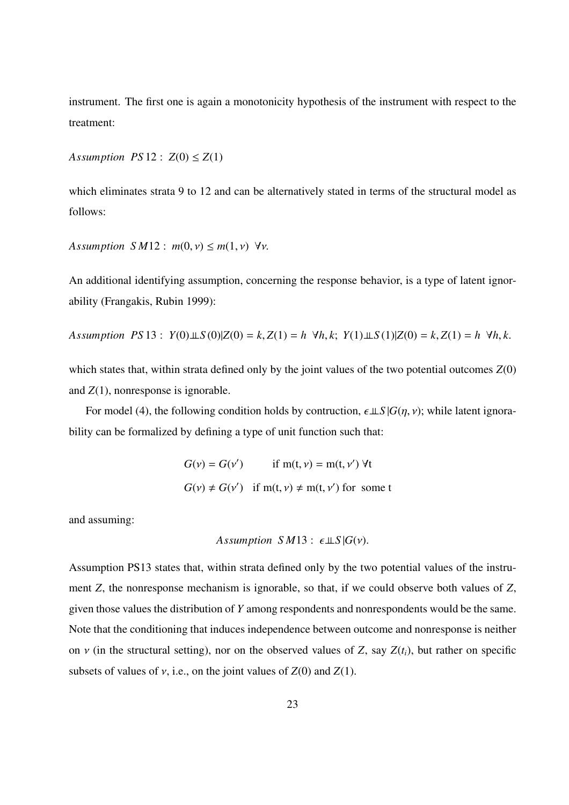instrument. The first one is again a monotonicity hypothesis of the instrument with respect to the treatment:

*Assumption PS*  $12 : Z(0) \leq Z(1)$ 

which eliminates strata 9 to 12 and can be alternatively stated in terms of the structural model as follows:

*Assumption SM12 :*  $m(0, v) \leq m(1, v) \ \forall v$ *.* 

An additional identifying assumption, concerning the response behavior, is a type of latent ignorability (Frangakis, Rubin 1999):

*Assumption PS* 13 :  $Y(0) \perp S(0) | Z(0) = k$ ,  $Z(1) = h \forall h, k$ ;  $Y(1) \perp S(1) | Z(0) = k$ ,  $Z(1) = h \forall h, k$ .

which states that, within strata defined only by the joint values of the two potential outcomes *Z*(0) and *Z*(1), nonresponse is ignorable.

For model (4), the following condition holds by contruction,  $\epsilon \perp S |G(\eta, v)$ ; while latent ignorability can be formalized by defining a type of unit function such that:

$$
G(v) = G(v') \qquad \text{if } m(t, v) = m(t, v') \, \forall t
$$
  

$$
G(v) \neq G(v') \quad \text{if } m(t, v) \neq m(t, v') \text{ for some } t
$$

and assuming:

Assumption 
$$
S M13 : \epsilon \perp S | G(v)
$$
.

Assumption PS13 states that, within strata defined only by the two potential values of the instrument *Z*, the nonresponse mechanism is ignorable, so that, if we could observe both values of *Z*, given those values the distribution of *Y* among respondents and nonrespondents would be the same. Note that the conditioning that induces independence between outcome and nonresponse is neither on  $\nu$  (in the structural setting), nor on the observed values of *Z*, say  $Z(t_i)$ , but rather on specific subsets of values of  $\nu$ , i.e., on the joint values of  $Z(0)$  and  $Z(1)$ .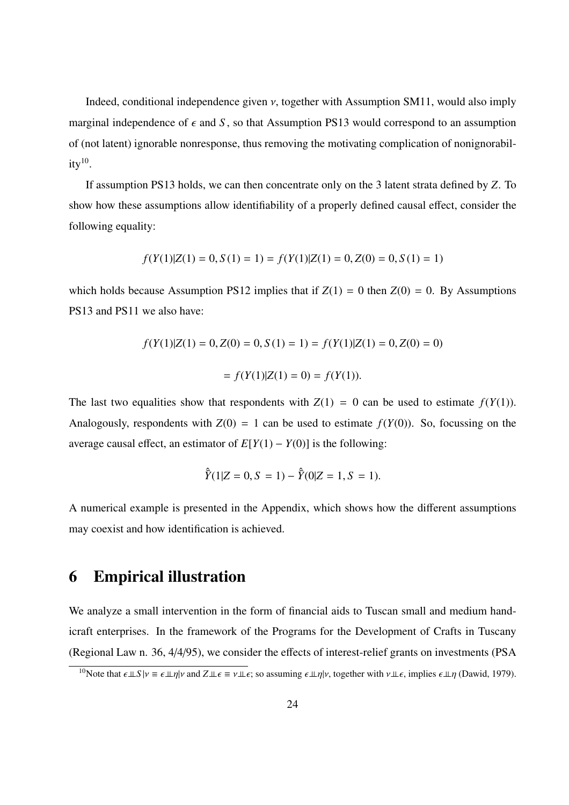Indeed, conditional independence given  $\nu$ , together with Assumption SM11, would also imply marginal independence of  $\epsilon$  and *S*, so that Assumption PS13 would correspond to an assumption of (not latent) ignorable nonresponse, thus removing the motivating complication of nonignorabil $ity^{10}$ .

If assumption PS13 holds, we can then concentrate only on the 3 latent strata defined by *Z*. To show how these assumptions allow identifiability of a properly defined causal effect, consider the following equality:

$$
f(Y(1)|Z(1) = 0, S(1) = 1) = f(Y(1)|Z(1) = 0, Z(0) = 0, S(1) = 1)
$$

which holds because Assumption PS12 implies that if  $Z(1) = 0$  then  $Z(0) = 0$ . By Assumptions PS13 and PS11 we also have:

$$
f(Y(1)|Z(1) = 0, Z(0) = 0, S(1) = 1) = f(Y(1)|Z(1) = 0, Z(0) = 0)
$$

$$
= f(Y(1)|Z(1) = 0) = f(Y(1)).
$$

The last two equalities show that respondents with  $Z(1) = 0$  can be used to estimate  $f(Y(1))$ . Analogously, respondents with  $Z(0) = 1$  can be used to estimate  $f(Y(0))$ . So, focussing on the average causal effect, an estimator of  $E[Y(1) - Y(0)]$  is the following:

$$
\hat{\bar{Y}}(1|Z=0, S=1) - \hat{\bar{Y}}(0|Z=1, S=1).
$$

A numerical example is presented in the Appendix, which shows how the different assumptions may coexist and how identification is achieved.

### 6 Empirical illustration

We analyze a small intervention in the form of financial aids to Tuscan small and medium handicraft enterprises. In the framework of the Programs for the Development of Crafts in Tuscany (Regional Law n. 36, 4/4/95), we consider the effects of interest-relief grants on investments (PSA

<sup>&</sup>lt;sup>10</sup>Note that  $\epsilon \perp S | v \equiv \epsilon \perp n | v$  and  $Z \perp \epsilon \equiv v \perp \epsilon$ ; so assuming  $\epsilon \perp n | v$ , together with  $v \perp \epsilon$ , implies  $\epsilon \perp n$  (Dawid, 1979).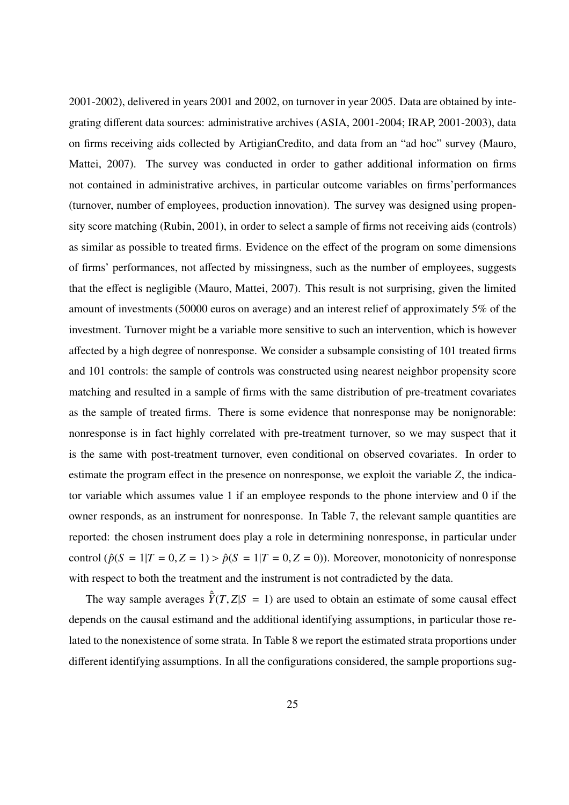2001-2002), delivered in years 2001 and 2002, on turnover in year 2005. Data are obtained by integrating different data sources: administrative archives (ASIA, 2001-2004; IRAP, 2001-2003), data on firms receiving aids collected by ArtigianCredito, and data from an "ad hoc" survey (Mauro, Mattei, 2007). The survey was conducted in order to gather additional information on firms not contained in administrative archives, in particular outcome variables on firms'performances (turnover, number of employees, production innovation). The survey was designed using propensity score matching (Rubin, 2001), in order to select a sample of firms not receiving aids (controls) as similar as possible to treated firms. Evidence on the effect of the program on some dimensions of firms' performances, not affected by missingness, such as the number of employees, suggests that the effect is negligible (Mauro, Mattei, 2007). This result is not surprising, given the limited amount of investments (50000 euros on average) and an interest relief of approximately 5% of the investment. Turnover might be a variable more sensitive to such an intervention, which is however affected by a high degree of nonresponse. We consider a subsample consisting of 101 treated firms and 101 controls: the sample of controls was constructed using nearest neighbor propensity score matching and resulted in a sample of firms with the same distribution of pre-treatment covariates as the sample of treated firms. There is some evidence that nonresponse may be nonignorable: nonresponse is in fact highly correlated with pre-treatment turnover, so we may suspect that it is the same with post-treatment turnover, even conditional on observed covariates. In order to estimate the program effect in the presence on nonresponse, we exploit the variable *Z*, the indicator variable which assumes value 1 if an employee responds to the phone interview and 0 if the owner responds, as an instrument for nonresponse. In Table 7, the relevant sample quantities are reported: the chosen instrument does play a role in determining nonresponse, in particular under control ( $\hat{p}(S = 1|T = 0, Z = 1) > \hat{p}(S = 1|T = 0, Z = 0)$ ). Moreover, monotonicity of nonresponse with respect to both the treatment and the instrument is not contradicted by the data.

The way sample averages  $\hat{Y}(T, Z|S = 1)$  are used to obtain an estimate of some causal effect depends on the causal estimand and the additional identifying assumptions, in particular those related to the nonexistence of some strata. In Table 8 we report the estimated strata proportions under different identifying assumptions. In all the configurations considered, the sample proportions sug-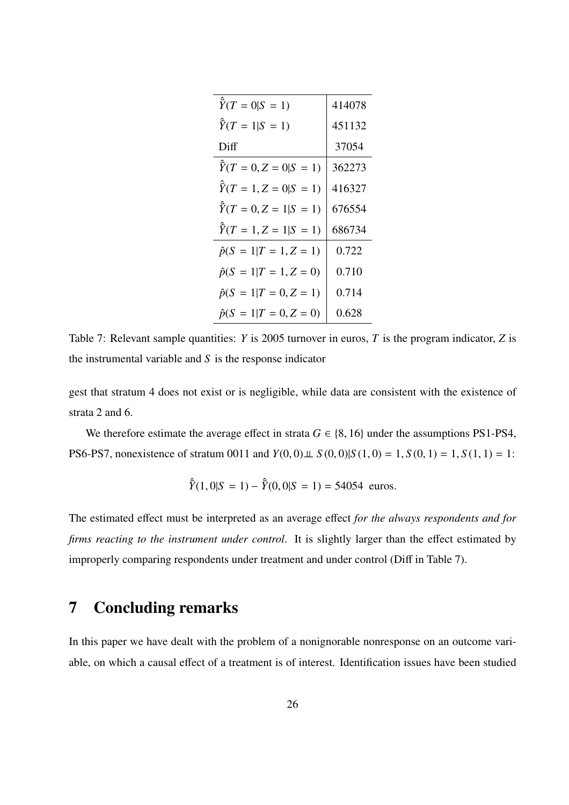| $\hat{Y}(T = 0 S = 1)$          | 414078 |
|---------------------------------|--------|
| $\hat{\bar{Y}}(T=1 S=1)$        | 451132 |
| Diff                            | 37054  |
| $\bar{Y}(T = 0, Z = 0 S = 1)$   | 362273 |
| $\hat{\bar{Y}}(T=1, Z=0 S=1)$   | 416327 |
| $\hat{Y}(T = 0, Z = 1 S = 1)$   | 676554 |
| $\hat{Y}(T = 1, Z = 1 S = 1)$   | 686734 |
| $\hat{p}(S = 1 T = 1, Z = 1)$   | 0.722  |
| $\hat{p}(S = 1   T = 1, Z = 0)$ | 0.710  |
| $\hat{p}(S = 1 T = 0, Z = 1)$   | 0.714  |
| $\hat{p}(S = 1 T = 0, Z = 0)$   | 0.628  |

Table 7: Relevant sample quantities: *Y* is 2005 turnover in euros, *T* is the program indicator, *Z* is the instrumental variable and *S* is the response indicator

gest that stratum 4 does not exist or is negligible, while data are consistent with the existence of strata 2 and 6.

We therefore estimate the average effect in strata  $G \in \{8, 16\}$  under the assumptions PS1-PS4, **PS6-PS7**, nonexistence of stratum 0011 and  $Y(0, 0)$ ⊥  $S(0, 0)$ | $S(1, 0) = 1$ ,  $S(0, 1) = 1$ ,  $S(1, 1) = 1$ :

$$
\hat{\bar{Y}}(1,0|S=1) - \hat{\bar{Y}}(0,0|S=1) = 54054
$$
 euros.

The estimated effect must be interpreted as an average effect *for the always respondents and for firms reacting to the instrument under control*. It is slightly larger than the effect estimated by improperly comparing respondents under treatment and under control (Diff in Table 7).

## 7 Concluding remarks

In this paper we have dealt with the problem of a nonignorable nonresponse on an outcome variable, on which a causal effect of a treatment is of interest. Identification issues have been studied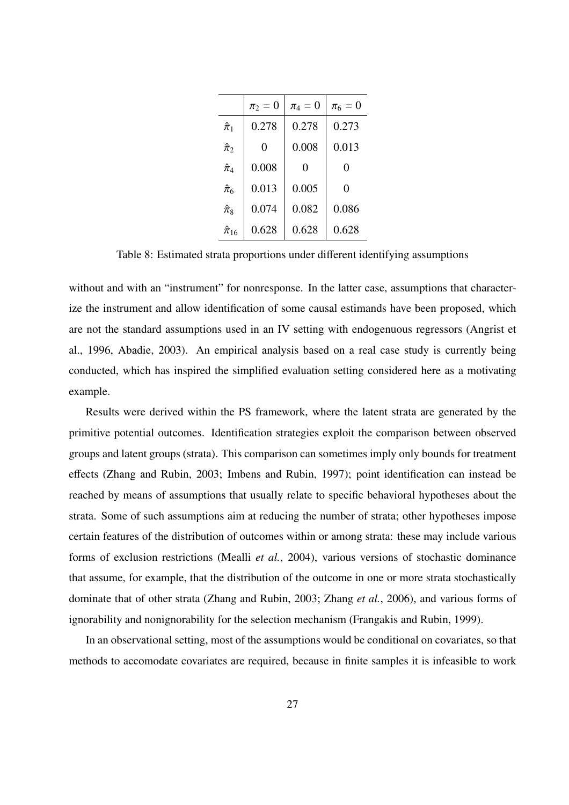|                  | $\pi_2=0$ | $\pi_4=0$ | $\pi_6 = 0$ |
|------------------|-----------|-----------|-------------|
| $\hat{\pi}_1$    | 0.278     | 0.278     | 0.273       |
| $\hat{\pi}_2$    | 0         | 0.008     | 0.013       |
| $\hat{\pi}_4$    | 0.008     | 0         | 0           |
| $\hat{\pi}_6$    | 0.013     | 0.005     | 0           |
| $\hat{\pi}_8$    | 0.074     | 0.082     | 0.086       |
| $\hat{\pi}_{16}$ | 0.628     | 0.628     | 0.628       |

Table 8: Estimated strata proportions under different identifying assumptions

without and with an "instrument" for nonresponse. In the latter case, assumptions that characterize the instrument and allow identification of some causal estimands have been proposed, which are not the standard assumptions used in an IV setting with endogenuous regressors (Angrist et al., 1996, Abadie, 2003). An empirical analysis based on a real case study is currently being conducted, which has inspired the simplified evaluation setting considered here as a motivating example.

Results were derived within the PS framework, where the latent strata are generated by the primitive potential outcomes. Identification strategies exploit the comparison between observed groups and latent groups (strata). This comparison can sometimes imply only bounds for treatment effects (Zhang and Rubin, 2003; Imbens and Rubin, 1997); point identification can instead be reached by means of assumptions that usually relate to specific behavioral hypotheses about the strata. Some of such assumptions aim at reducing the number of strata; other hypotheses impose certain features of the distribution of outcomes within or among strata: these may include various forms of exclusion restrictions (Mealli *et al.*, 2004), various versions of stochastic dominance that assume, for example, that the distribution of the outcome in one or more strata stochastically dominate that of other strata (Zhang and Rubin, 2003; Zhang *et al.*, 2006), and various forms of ignorability and nonignorability for the selection mechanism (Frangakis and Rubin, 1999).

In an observational setting, most of the assumptions would be conditional on covariates, so that methods to accomodate covariates are required, because in finite samples it is infeasible to work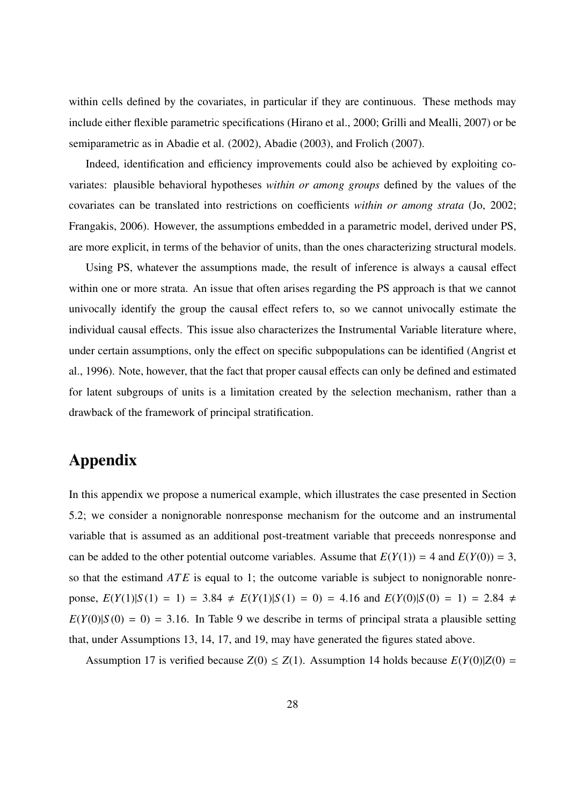within cells defined by the covariates, in particular if they are continuous. These methods may include either flexible parametric specifications (Hirano et al., 2000; Grilli and Mealli, 2007) or be semiparametric as in Abadie et al. (2002), Abadie (2003), and Frolich (2007).

Indeed, identification and efficiency improvements could also be achieved by exploiting covariates: plausible behavioral hypotheses *within or among groups* defined by the values of the covariates can be translated into restrictions on coefficients *within or among strata* (Jo, 2002; Frangakis, 2006). However, the assumptions embedded in a parametric model, derived under PS, are more explicit, in terms of the behavior of units, than the ones characterizing structural models.

Using PS, whatever the assumptions made, the result of inference is always a causal effect within one or more strata. An issue that often arises regarding the PS approach is that we cannot univocally identify the group the causal effect refers to, so we cannot univocally estimate the individual causal effects. This issue also characterizes the Instrumental Variable literature where, under certain assumptions, only the effect on specific subpopulations can be identified (Angrist et al., 1996). Note, however, that the fact that proper causal effects can only be defined and estimated for latent subgroups of units is a limitation created by the selection mechanism, rather than a drawback of the framework of principal stratification.

### Appendix

In this appendix we propose a numerical example, which illustrates the case presented in Section 5.2; we consider a nonignorable nonresponse mechanism for the outcome and an instrumental variable that is assumed as an additional post-treatment variable that preceeds nonresponse and can be added to the other potential outcome variables. Assume that  $E(Y(1)) = 4$  and  $E(Y(0)) = 3$ , so that the estimand *ATE* is equal to 1; the outcome variable is subject to nonignorable nonreponse,  $E(Y(1)|S(1) = 1) = 3.84 \neq E(Y(1)|S(1) = 0) = 4.16$  and  $E(Y(0)|S(0) = 1) = 2.84 \neq$  $E(Y(0)|S(0) = 0) = 3.16$ . In Table 9 we describe in terms of principal strata a plausible setting that, under Assumptions 13, 14, 17, and 19, may have generated the figures stated above.

Assumption 17 is verified because  $Z(0) \leq Z(1)$ . Assumption 14 holds because  $E(Y(0)|Z(0) =$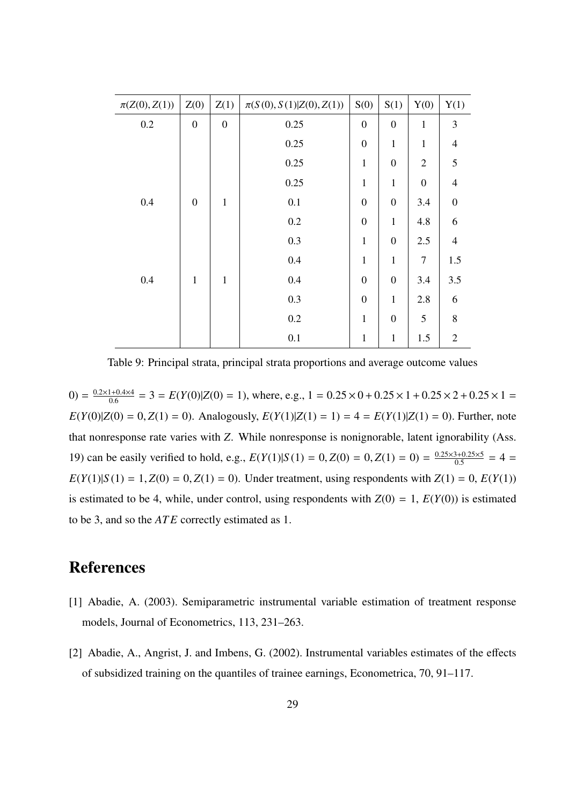| $\pi(Z(0), Z(1))$ | Z(0)           | Z(1)           | $\pi(S(0), S(1) Z(0), Z(1))$ | S(0)             | S(1)             | Y(0)             | Y(1)             |
|-------------------|----------------|----------------|------------------------------|------------------|------------------|------------------|------------------|
| 0.2               | $\overline{0}$ | $\overline{0}$ | 0.25                         | $\boldsymbol{0}$ | $\mathbf{0}$     | $\mathbf{1}$     | 3                |
|                   |                |                | 0.25                         | $\boldsymbol{0}$ | $\mathbf{1}$     | $\mathbf{1}$     | $\overline{4}$   |
|                   |                |                | 0.25                         | $\mathbf{1}$     | $\boldsymbol{0}$ | $\overline{2}$   | 5                |
|                   |                |                | 0.25                         | $\mathbf{1}$     | $\mathbf{1}$     | $\boldsymbol{0}$ | $\overline{4}$   |
| 0.4               | $\overline{0}$ | $\mathbf{1}$   | 0.1                          | $\boldsymbol{0}$ | $\boldsymbol{0}$ | 3.4              | $\boldsymbol{0}$ |
|                   |                |                | $0.2\,$                      | $\boldsymbol{0}$ | $\mathbf{1}$     | 4.8              | 6                |
|                   |                |                | 0.3                          | $\mathbf{1}$     | $\boldsymbol{0}$ | 2.5              | $\overline{4}$   |
|                   |                |                | 0.4                          | $\mathbf{1}$     | $\mathbf{1}$     | $\overline{7}$   | 1.5              |
| 0.4               | $\mathbf{1}$   | $\mathbf{1}$   | 0.4                          | $\boldsymbol{0}$ | $\boldsymbol{0}$ | 3.4              | 3.5              |
|                   |                |                | 0.3                          | $\boldsymbol{0}$ | $\mathbf{1}$     | 2.8              | 6                |
|                   |                |                | 0.2                          | $\mathbf{1}$     | $\boldsymbol{0}$ | 5                | 8                |
|                   |                |                | 0.1                          | $\mathbf{1}$     | $\mathbf{1}$     | 1.5              | $\overline{2}$   |

Table 9: Principal strata, principal strata proportions and average outcome values

 $0) = \frac{0.2 \times 1 + 0.4 \times 4}{0.6}$  $\frac{0.1+0.4\times4}{0.6}$  = 3 =  $E(Y(0)|Z(0) = 1)$ , where, e.g., 1 =  $0.25 \times 0 + 0.25 \times 1 + 0.25 \times 2 + 0.25 \times 1 =$  $E(Y(0)|Z(0) = 0, Z(1) = 0)$ . Analogously,  $E(Y(1)|Z(1) = 1) = 4 = E(Y(1)|Z(1) = 0)$ . Further, note that nonresponse rate varies with *Z*. While nonresponse is nonignorable, latent ignorability (Ass. 19) can be easily verified to hold, e.g.,  $E(Y(1)|S(1) = 0, Z(0) = 0, Z(1) = 0) = \frac{0.25 \times 3 + 0.25 \times 5}{0.5}$  $\frac{3+0.25\times5}{0.5}$  = 4 =  $E(Y(1)|S(1) = 1, Z(0) = 0, Z(1) = 0)$ . Under treatment, using respondents with  $Z(1) = 0, E(Y(1))$ is estimated to be 4, while, under control, using respondents with  $Z(0) = 1$ ,  $E(Y(0))$  is estimated to be 3, and so the *AT E* correctly estimated as 1.

### References

- [1] Abadie, A. (2003). Semiparametric instrumental variable estimation of treatment response models, Journal of Econometrics, 113, 231–263.
- [2] Abadie, A., Angrist, J. and Imbens, G. (2002). Instrumental variables estimates of the effects of subsidized training on the quantiles of trainee earnings, Econometrica, 70, 91–117.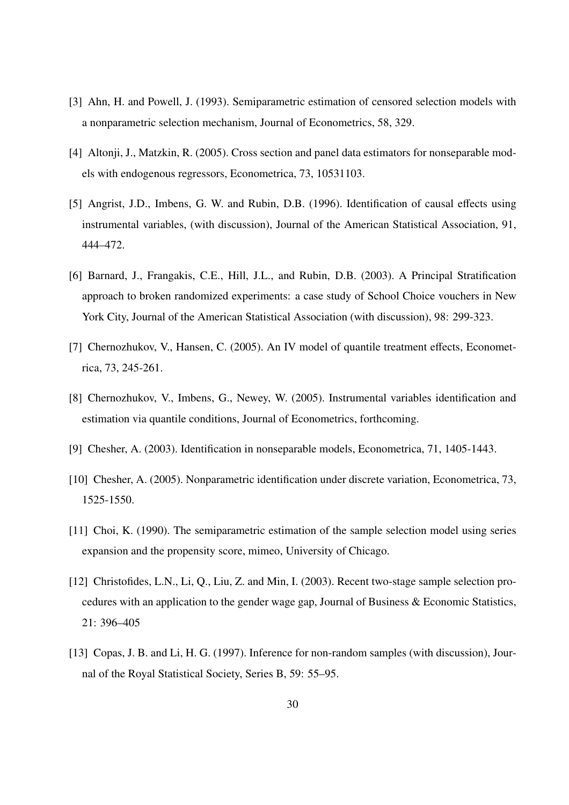- [3] Ahn, H. and Powell, J. (1993). Semiparametric estimation of censored selection models with a nonparametric selection mechanism, Journal of Econometrics, 58, 329.
- [4] Altonji, J., Matzkin, R. (2005). Cross section and panel data estimators for nonseparable models with endogenous regressors, Econometrica, 73, 10531103.
- [5] Angrist, J.D., Imbens, G. W. and Rubin, D.B. (1996). Identification of causal effects using instrumental variables, (with discussion), Journal of the American Statistical Association, 91, 444–472.
- [6] Barnard, J., Frangakis, C.E., Hill, J.L., and Rubin, D.B. (2003). A Principal Stratification approach to broken randomized experiments: a case study of School Choice vouchers in New York City, Journal of the American Statistical Association (with discussion), 98: 299-323.
- [7] Chernozhukov, V., Hansen, C. (2005). An IV model of quantile treatment effects, Econometrica, 73, 245-261.
- [8] Chernozhukov, V., Imbens, G., Newey, W. (2005). Instrumental variables identification and estimation via quantile conditions, Journal of Econometrics, forthcoming.
- [9] Chesher, A. (2003). Identification in nonseparable models, Econometrica, 71, 1405-1443.
- [10] Chesher, A. (2005). Nonparametric identification under discrete variation, Econometrica, 73, 1525-1550.
- [11] Choi, K. (1990). The semiparametric estimation of the sample selection model using series expansion and the propensity score, mimeo, University of Chicago.
- [12] Christofides, L.N., Li, Q., Liu, Z. and Min, I. (2003). Recent two-stage sample selection procedures with an application to the gender wage gap, Journal of Business & Economic Statistics, 21: 396–405
- [13] Copas, J. B. and Li, H. G. (1997). Inference for non-random samples (with discussion), Journal of the Royal Statistical Society, Series B, 59: 55–95.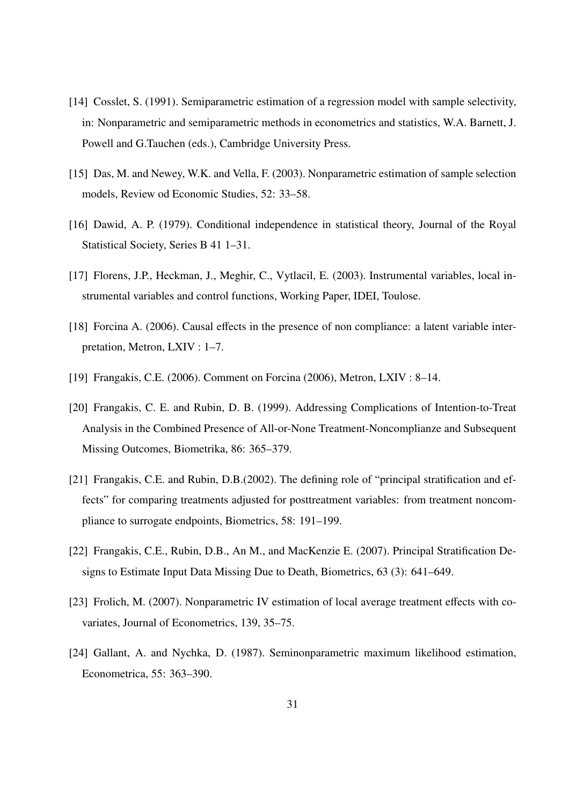- [14] Cosslet, S. (1991). Semiparametric estimation of a regression model with sample selectivity, in: Nonparametric and semiparametric methods in econometrics and statistics, W.A. Barnett, J. Powell and G.Tauchen (eds.), Cambridge University Press.
- [15] Das, M. and Newey, W.K. and Vella, F. (2003). Nonparametric estimation of sample selection models, Review od Economic Studies, 52: 33–58.
- [16] Dawid, A. P. (1979). Conditional independence in statistical theory, Journal of the Royal Statistical Society, Series B 41 1–31.
- [17] Florens, J.P., Heckman, J., Meghir, C., Vytlacil, E. (2003). Instrumental variables, local instrumental variables and control functions, Working Paper, IDEI, Toulose.
- [18] Forcina A. (2006). Causal effects in the presence of non compliance: a latent variable interpretation, Metron, LXIV : 1–7.
- [19] Frangakis, C.E. (2006). Comment on Forcina (2006), Metron, LXIV : 8–14.
- [20] Frangakis, C. E. and Rubin, D. B. (1999). Addressing Complications of Intention-to-Treat Analysis in the Combined Presence of All-or-None Treatment-Noncomplianze and Subsequent Missing Outcomes, Biometrika, 86: 365–379.
- [21] Frangakis, C.E. and Rubin, D.B.(2002). The defining role of "principal stratification and effects" for comparing treatments adjusted for posttreatment variables: from treatment noncompliance to surrogate endpoints, Biometrics, 58: 191–199.
- [22] Frangakis, C.E., Rubin, D.B., An M., and MacKenzie E. (2007). Principal Stratification Designs to Estimate Input Data Missing Due to Death, Biometrics, 63 (3): 641–649.
- [23] Frolich, M. (2007). Nonparametric IV estimation of local average treatment effects with covariates, Journal of Econometrics, 139, 35–75.
- [24] Gallant, A. and Nychka, D. (1987). Seminonparametric maximum likelihood estimation, Econometrica, 55: 363–390.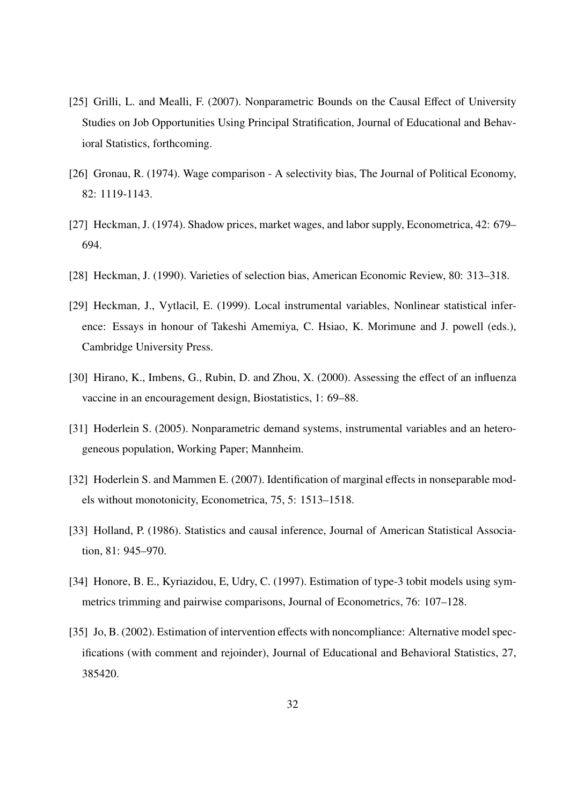- [25] Grilli, L. and Mealli, F. (2007). Nonparametric Bounds on the Causal Effect of University Studies on Job Opportunities Using Principal Stratification, Journal of Educational and Behavioral Statistics, forthcoming.
- [26] Gronau, R. (1974). Wage comparison A selectivity bias, The Journal of Political Economy, 82: 1119-1143.
- [27] Heckman, J. (1974). Shadow prices, market wages, and labor supply, Econometrica, 42: 679– 694.
- [28] Heckman, J. (1990). Varieties of selection bias, American Economic Review, 80: 313–318.
- [29] Heckman, J., Vytlacil, E. (1999). Local instrumental variables, Nonlinear statistical inference: Essays in honour of Takeshi Amemiya, C. Hsiao, K. Morimune and J. powell (eds.), Cambridge University Press.
- [30] Hirano, K., Imbens, G., Rubin, D. and Zhou, X. (2000). Assessing the effect of an influenza vaccine in an encouragement design, Biostatistics, 1: 69–88.
- [31] Hoderlein S. (2005). Nonparametric demand systems, instrumental variables and an heterogeneous population, Working Paper; Mannheim.
- [32] Hoderlein S. and Mammen E. (2007). Identification of marginal effects in nonseparable models without monotonicity, Econometrica, 75, 5: 1513–1518.
- [33] Holland, P. (1986). Statistics and causal inference, Journal of American Statistical Association, 81: 945–970.
- [34] Honore, B. E., Kyriazidou, E, Udry, C. (1997). Estimation of type-3 tobit models using symmetrics trimming and pairwise comparisons, Journal of Econometrics, 76: 107–128.
- [35] Jo, B. (2002). Estimation of intervention effects with noncompliance: Alternative model specifications (with comment and rejoinder), Journal of Educational and Behavioral Statistics, 27, 385420.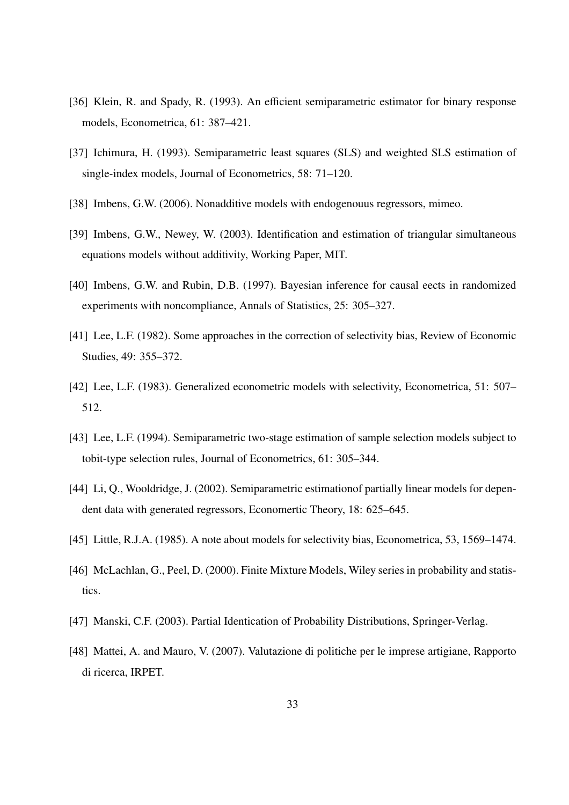- [36] Klein, R. and Spady, R. (1993). An efficient semiparametric estimator for binary response models, Econometrica, 61: 387–421.
- [37] Ichimura, H. (1993). Semiparametric least squares (SLS) and weighted SLS estimation of single-index models, Journal of Econometrics, 58: 71–120.
- [38] Imbens, G.W. (2006). Nonadditive models with endogenouus regressors, mimeo.
- [39] Imbens, G.W., Newey, W. (2003). Identification and estimation of triangular simultaneous equations models without additivity, Working Paper, MIT.
- [40] Imbens, G.W. and Rubin, D.B. (1997). Bayesian inference for causal eects in randomized experiments with noncompliance, Annals of Statistics, 25: 305–327.
- [41] Lee, L.F. (1982). Some approaches in the correction of selectivity bias, Review of Economic Studies, 49: 355–372.
- [42] Lee, L.F. (1983). Generalized econometric models with selectivity, Econometrica, 51: 507– 512.
- [43] Lee, L.F. (1994). Semiparametric two-stage estimation of sample selection models subject to tobit-type selection rules, Journal of Econometrics, 61: 305–344.
- [44] Li, Q., Wooldridge, J. (2002). Semiparametric estimation of partially linear models for dependent data with generated regressors, Economertic Theory, 18: 625–645.
- [45] Little, R.J.A. (1985). A note about models for selectivity bias, Econometrica, 53, 1569–1474.
- [46] McLachlan, G., Peel, D. (2000). Finite Mixture Models, Wiley series in probability and statistics.
- [47] Manski, C.F. (2003). Partial Identication of Probability Distributions, Springer-Verlag.
- [48] Mattei, A. and Mauro, V. (2007). Valutazione di politiche per le imprese artigiane, Rapporto di ricerca, IRPET.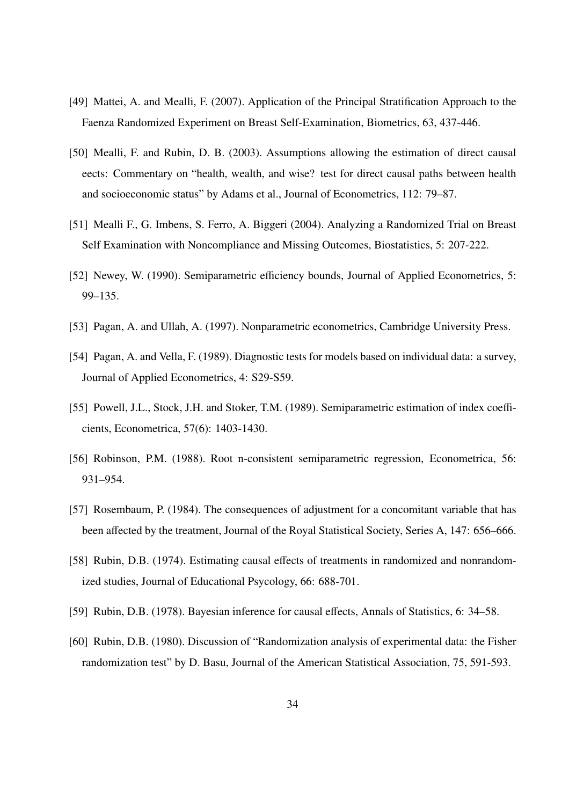- [49] Mattei, A. and Mealli, F. (2007). Application of the Principal Stratification Approach to the Faenza Randomized Experiment on Breast Self-Examination, Biometrics, 63, 437-446.
- [50] Mealli, F. and Rubin, D. B. (2003). Assumptions allowing the estimation of direct causal eects: Commentary on "health, wealth, and wise? test for direct causal paths between health and socioeconomic status" by Adams et al., Journal of Econometrics, 112: 79–87.
- [51] Mealli F., G. Imbens, S. Ferro, A. Biggeri (2004). Analyzing a Randomized Trial on Breast Self Examination with Noncompliance and Missing Outcomes, Biostatistics, 5: 207-222.
- [52] Newey, W. (1990). Semiparametric efficiency bounds, Journal of Applied Econometrics, 5: 99–135.
- [53] Pagan, A. and Ullah, A. (1997). Nonparametric econometrics, Cambridge University Press.
- [54] Pagan, A. and Vella, F. (1989). Diagnostic tests for models based on individual data: a survey, Journal of Applied Econometrics, 4: S29-S59.
- [55] Powell, J.L., Stock, J.H. and Stoker, T.M. (1989). Semiparametric estimation of index coefficients, Econometrica, 57(6): 1403-1430.
- [56] Robinson, P.M. (1988). Root n-consistent semiparametric regression, Econometrica, 56: 931–954.
- [57] Rosembaum, P. (1984). The consequences of adjustment for a concomitant variable that has been affected by the treatment, Journal of the Royal Statistical Society, Series A, 147: 656–666.
- [58] Rubin, D.B. (1974). Estimating causal effects of treatments in randomized and nonrandomized studies, Journal of Educational Psycology, 66: 688-701.
- [59] Rubin, D.B. (1978). Bayesian inference for causal effects, Annals of Statistics, 6: 34–58.
- [60] Rubin, D.B. (1980). Discussion of "Randomization analysis of experimental data: the Fisher randomization test" by D. Basu, Journal of the American Statistical Association, 75, 591-593.